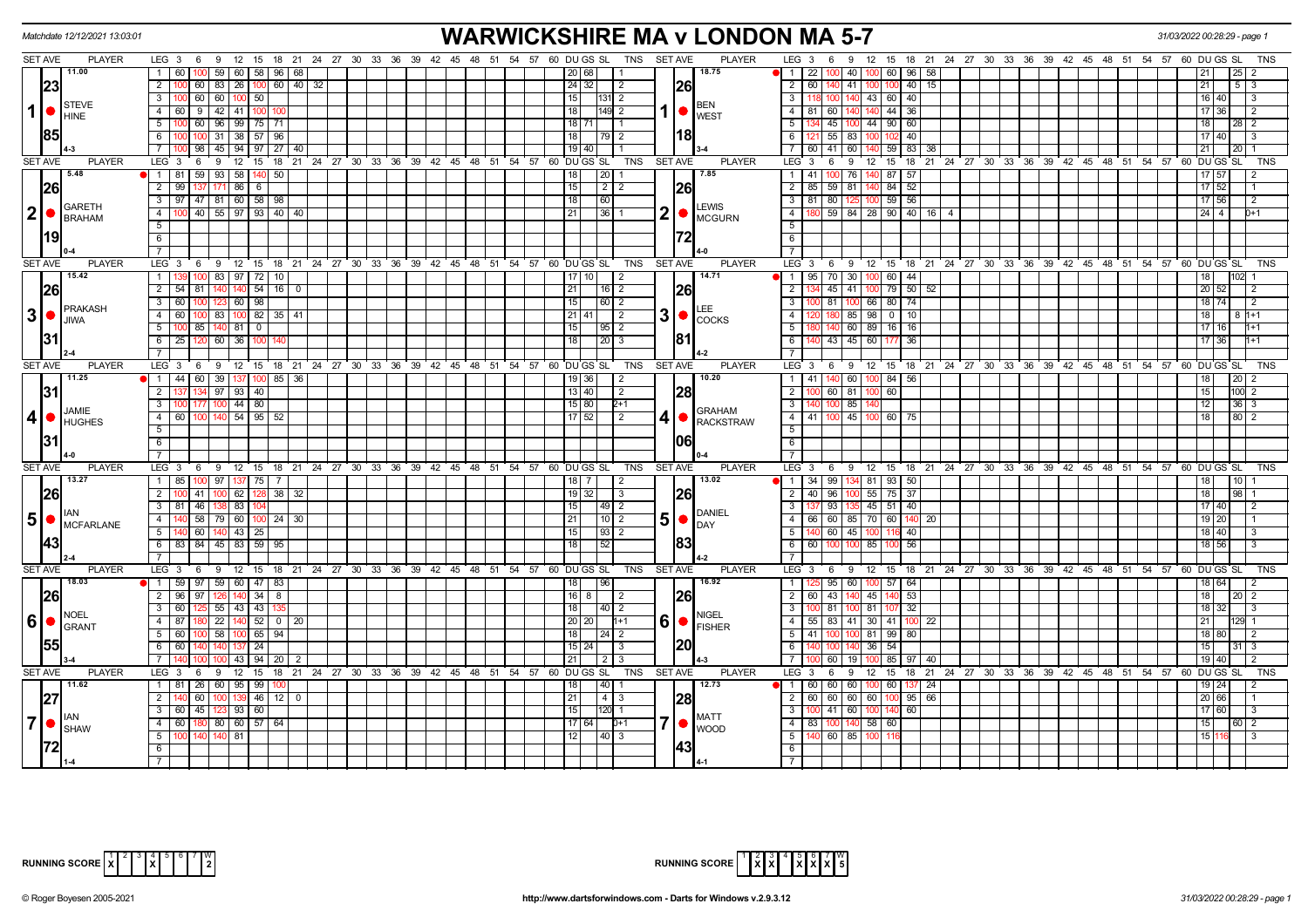|                 | Matchdate 12/12/2021 13:03:01 |                                                                                      | <b>WARWICKSHIRE MA v LONDON MA 5-7</b>                                                         | 31/03/2022 00:28:29 - page 1                                                                                                                |
|-----------------|-------------------------------|--------------------------------------------------------------------------------------|------------------------------------------------------------------------------------------------|---------------------------------------------------------------------------------------------------------------------------------------------|
| SET AVE         | <b>PLAYER</b>                 | LEG 3 6 9 12 15 18 21 24 27 30 33 36 39 42 45 48 51 54 57 60 DUGS SL                 | TNS SET AVE<br><b>PLAYER</b>                                                                   | LEG <sub>3</sub><br>12 15 18 21 24 27 30 33 36 39 42 45 48 51 54 57 60 DUGS SL<br>9<br>-6                                                   |
|                 | 11.00                         | $\overline{1}$<br>60 100<br>59<br>60   58   96   68                                  | 18.75<br>20 68                                                                                 | 60 96 58<br>$\vert$ 1 $\vert$<br>22 I<br>$100$ 40                                                                                           |
|                 | 23                            | $\overline{2}$<br>26<br>$\boxed{60}$<br>$140$ 32<br>60 l<br>83                       | 26<br>24 32 <br>-2                                                                             | $\overline{2}$<br>40<br>- 60 I<br>40 41<br>15<br>21<br>$5 \mid 3$                                                                           |
|                 |                               | $\overline{3}$<br>60 60<br>100 50                                                    | 15<br>131 <b>1</b> 2                                                                           | 43 60 40<br>$\overline{\mathbf{3}}$<br>16 40                                                                                                |
| $1$ $\bullet$   | STEVE                         | $\overline{4}$<br>9   42   41  <br>60<br>100                                         | <b>BEN</b><br>$1  \bullet  _{\text{WEST}}^{\text{perv}}$<br>18<br>$\overline{2}$               | $\overline{4}$<br>60<br>44 36<br>81<br>$17$ 36                                                                                              |
|                 | <b>HINE</b>                   | $\overline{5}$<br>100 60 96 99 75 71                                                 | 18 71                                                                                          | 4 45 100<br>$-5$<br>44 90 60<br>18 <sup>1</sup><br>$28 \mid 2$                                                                              |
|                 | 85                            | 6<br>$100$ 31<br>38 57 96                                                            | 18<br>18<br>  79   2                                                                           | $121$ 55 83<br>6<br>40<br>02<br>17140                                                                                                       |
|                 |                               | $\overline{7}$<br>$98 \mid 45$<br>$94$   97   27<br> 40                              | $19$ 40                                                                                        | $59$ 83<br>$\overline{7}$<br>60 41 60<br>21<br>-38<br>20 I                                                                                  |
| <b>SET AVE</b>  | <b>PLAYER</b>                 | LEG <sup>3</sup><br>6<br>9<br>$12 \quad 15$                                          | 18 21 24 27 30 33 36 39 42 45 48 51 54 57 60 DUGS SL<br><b>SET AVE</b><br><b>PLAYER</b><br>TNS | 18 21 24 27 30 33 36 39 42 45 48 51 54 57 60 DUGS<br><b>LEG</b><br>$\mathbf{3}$<br>9<br>12<br>$^{\circ}$ 15<br><b>SL</b><br><b>TNS</b><br>6 |
|                 | 5.48                          | 1 81 59 93<br>$58$   140   50                                                        | 7.85<br>20<br>18                                                                               | $00$ 76<br>140 87 57<br>$\overline{1}$<br>17 57                                                                                             |
|                 |                               | $\overline{2}$<br>99<br>$86$ 6                                                       | 15<br>2                                                                                        | $\overline{2}$<br>$17$ 52<br>85<br>$59$ 81<br>84 52                                                                                         |
|                 | <b>26</b>                     | $\overline{3}$                                                                       | 26                                                                                             | $59$ 56<br>81<br>17 56                                                                                                                      |
|                 | GARETH                        | 97 47 81 60 58 98                                                                    | 18<br>60<br>LEWIS                                                                              | 3<br>80                                                                                                                                     |
| 2 •             | <b>BRAHAM</b>                 | 100 40 55 97 93 40 40<br>$\overline{4}$                                              | 2<br>21<br>36<br>$\bigcirc$ $\bigcirc$ MCGURN                                                  | 59   84   28   90   40   16   4<br>$24 \mid 4$<br>$\overline{4}$<br>0+1                                                                     |
|                 |                               | $5\overline{)}$                                                                      |                                                                                                | 5                                                                                                                                           |
|                 | 119                           | 6                                                                                    |                                                                                                | 6                                                                                                                                           |
|                 |                               | $\overline{7}$                                                                       |                                                                                                | $\overline{7}$                                                                                                                              |
| <b>SET AVE</b>  | <b>PLAYER</b>                 | LEG <sup>3</sup><br>6<br>- 9<br>12 15                                                | 18 21 24 27 30 33 36 39 42 45 48 51 54 57 60 DUGS SL<br><b>SET AVE</b><br><b>PLAYER</b><br>TNS | $LEG^3$ 3<br>$12 \quad 15$<br>18 21 24 27 30 33 36 39 42 45 48 51 54 57 60 DUGS SL<br>6<br>9<br><b>TNS</b>                                  |
|                 | 15.42                         | $97$ 72<br>83<br>1<br>10                                                             | 14.71<br>10 I<br>2                                                                             | $70$ 30<br>$60 \mid 44$<br>$\overline{1}$<br>95<br>18                                                                                       |
|                 | 26                            | $\overline{2}$<br>140 54<br>$54$ 81<br>16<br>$\overline{0}$                          | <b>26</b><br>21<br>$16$   2                                                                    | $45$   $41$<br>79 50 52<br>20 52<br>$\overline{2}$                                                                                          |
|                 | PRAKASH                       | $3-1$<br>60<br>60 98<br>100                                                          | 15<br>60   2                                                                                   | 81<br>66 80 74<br>$18$ 74<br>100<br>l 2                                                                                                     |
| $\mathbf{3}$    | $\bullet$<br><b>JIWA</b>      | 60 100 83<br>$100$ 82<br>$\overline{4}$<br>35<br>41                                  | 3 <sup>1</sup><br>$21$ 41<br>2                                                                 | $0$ 10<br>$-4$<br>180 85<br>98<br>18<br>8 1 + 1                                                                                             |
|                 |                               | $\overline{5}$<br>85<br>140<br>  81  <br>$\overline{0}$                              | 15<br> 95 2                                                                                    | 5<br>40 60<br>$16 \mid 16$<br>$17$ 16<br>89                                                                                                 |
|                 | 31                            | 6<br>36 100<br>25 120<br>60                                                          | 1811<br>18<br>  20   3                                                                         | 140 43 45 60 177<br>17 36<br>6<br>36                                                                                                        |
|                 |                               |                                                                                      |                                                                                                | $\overline{7}$                                                                                                                              |
| <b>SET AVE</b>  | <b>PLAYER</b>                 | LEG $3 \quad 6$<br>12 15 18 21 24 27 30 33 36 39 42 45 48 51 54 57 60 DUGS SL<br>- 9 | <b>PLAYER</b><br><b>TNS</b><br><b>SET AVE</b>                                                  | LEG 3<br>9 12 15 18 21 24 27 30 33 36 39 42 45 48 51 54 57 60 DUGS SL<br><b>TNS</b><br>6                                                    |
|                 | 11.25                         | $\overline{1}$<br>44 60 39<br>85<br>36<br>137   100                                  | 10.20<br>36<br>2                                                                               | $\overline{1}$<br>40 60<br>84<br>41<br>56                                                                                                   |
|                 | 31                            | 97   93   40<br>$\overline{2}$                                                       | 13   40<br> 28 <br>$\overline{2}$                                                              | $\overline{2}$<br>$60$ 81<br>60<br>$\overline{00}$ 2<br>15                                                                                  |
|                 | <b>JAMIE</b>                  | $\overline{\mathbf{3}}$<br>$44$   80<br>00 177<br>1 <sup>o</sup>                     | 15 80<br>$2+1$<br>GRAHAM                                                                       | $36 \mid 3$<br>$\overline{\mathbf{3}}$<br>$100$ 85<br>12                                                                                    |
| 4               | <b>HUGHES</b>                 | 4 60 100 140 54 95 52                                                                | $17$   52<br>4 •<br>$\overline{2}$<br><b>RACKSTRAW</b>                                         | $-4$<br>41   100   45   100   60   75<br>18<br>$80$ 2                                                                                       |
|                 |                               | $\overline{5}$                                                                       |                                                                                                | $-5$                                                                                                                                        |
|                 | 31                            | 6                                                                                    | 1061                                                                                           | $\overline{6}$                                                                                                                              |
|                 |                               |                                                                                      |                                                                                                |                                                                                                                                             |
| <b>SET AVE</b>  | <b>PLAYER</b><br>13.27        | LEG <sub>3</sub><br>$12 \quad 15$<br>69                                              | <b>PLAYER</b><br>18 21 24 27 30 33 36 39 42 45 48 51 54 57 60 DUGS SL<br>TNS<br><b>SET AVE</b> | LEG <sub>3</sub><br><u>່</u> 9<br>12 15 18 21 24 27 30 33 36 39 42 45 48 51 54 57 60 DUGS SL<br><b>TNS</b><br>6                             |
|                 |                               | 1 85 100 97 137 75                                                                   | 13.02<br>$18$   7<br>2                                                                         | 34 99 134 81 93 50<br>$\vert$ 1                                                                                                             |
|                 | <b>26</b>                     | $\overline{2}$<br>62<br>38<br>41<br>32                                               | <b>26</b><br>19 32 <br>3                                                                       | 40 96 100<br>$\overline{2}$<br>$55$ 75 37<br>18<br>98                                                                                       |
|                 |                               | 3   81   46<br>-83 I                                                                 | 15 <sub>l</sub><br> 49 2<br><b>DANIEL</b>                                                      | 93<br>45 51 40<br>17 40<br>3                                                                                                                |
| 5 <sup>5</sup>  | $\bullet$<br>MCFARLANE        | $\overline{4}$<br>58<br>79 60 100 24 30                                              | 5 <sub>l</sub><br>$10$   2<br>$\bullet$<br>DAY                                                 | 66 60 85 70 60 140<br>$\overline{4}$<br>19 20<br>-20                                                                                        |
|                 |                               | 5<br>$43 \mid 25$<br>60                                                              | 15<br>93                                                                                       | $-5$<br>$60 \mid 45$<br>40<br>18 40                                                                                                         |
|                 | 143                           | $6$ 83 84 45 83 59<br>95                                                             | $\overline{18}$                                                                                | 56<br>6<br>18 56<br>60<br>85                                                                                                                |
|                 |                               | $\overline{7}$                                                                       |                                                                                                | $\overline{7}$                                                                                                                              |
| <b>SET AVE</b>  | <b>PLAYER</b>                 | LEG <sub>3</sub><br>$12 \quad 15$<br>6<br>9                                          | 18 21 24 27 30 33 36 39 42 45 48 51 54 57 60 DUGS SL<br><b>SET AVE</b><br><b>PLAYER</b><br>TNS | 12 15 18 21 24 27 30 33 36 39 42 45 48 51 54 57 60 DUGS SL<br>LEG 3<br><b>TNS</b><br>6<br>9                                                 |
|                 | 18.03                         | 1 59 97 59 60 47 83                                                                  | 16.92<br>$\sqrt{96}$<br>18                                                                     | $95$ 60 100 57 64<br>$\overline{1}$<br>18 64                                                                                                |
|                 | <b>26</b>                     | $140$ 34 8<br>2 96 97                                                                | $16$ 8<br>26<br>2                                                                              | $\overline{2}$<br>60 43 140<br>45 140 53<br>18 I<br>20   2                                                                                  |
|                 | <b>NOEL</b>                   | $55 \mid 43 \mid 43$<br>$\overline{3}$<br>60 125                                     | 18<br>$40$   2<br><b>NIGEL</b>                                                                 | $\overline{\mathbf{3}}$<br>81 100<br>81 107<br>32<br>18 32                                                                                  |
| $6\phantom{1}6$ | $\bullet$<br>GRANT            | $140$ 52<br>$\overline{4}$<br>87<br>22<br>$\mathbf 0$<br>20                          | 6<br>20<br>20<br>$\bullet$ FISHER                                                              | $-4$<br>$55 \mid 83 \mid 41$<br>30 <sup>1</sup><br>41<br>21<br>100<br>-22<br>29                                                             |
|                 |                               | 58<br>5 <sup>5</sup><br>$100$ 65<br>94<br>60 I                                       | 18<br>24   2                                                                                   | 5<br>41<br>$81$   99<br>80<br>18 80                                                                                                         |
|                 | 155                           | 6<br>60<br>24                                                                        | 20 <br>15 24<br>3                                                                              | 6<br>54<br>36<br>15 <sup>1</sup>                                                                                                            |
|                 |                               | $\overline{7}$<br>94<br>43<br>20                                                     | 21<br>2                                                                                        | 60<br>$\overline{7}$<br>85<br>19 40<br>19<br>40                                                                                             |
| <b>SET AVE</b>  | <b>PLAYER</b>                 | LEG 3 6 9 12 15                                                                      | <b>PLAYER</b><br>18 21 24 27 30 33 36 39 42 45 48 51 54 57 60 DUGS SL<br>TNS<br><b>SET AVE</b> | $LEG^3$ 3<br>12 15<br>18 21 24 27 30 33 36 39 42 45 48 51 54 57 60 DUGS<br>6<br>9<br><b>TNS</b><br>SL                                       |
|                 | 11.62                         | 1 81 26<br>60 95 99                                                                  | 12.73<br>40                                                                                    | $\blacksquare$ 1<br>60 60<br>60<br>60 I<br>-24                                                                                              |
|                 | 27                            | $\overline{2}$<br>46<br>12<br>60<br>$\mathbf{0}$                                     | 28 <br>21<br>4 3                                                                               | 60 60 60 60 100<br>$\overline{2}$<br>20 66<br>95 66                                                                                         |
|                 |                               | $\overline{3}$<br>60 45<br>93   60                                                   | 15<br>$120$ 1<br><b>MATT</b>                                                                   | $141$ 60<br>60<br>$\overline{\mathbf{3}}$<br>17 60<br>140                                                                                   |
| 7               | $\bullet$<br><b>SHAW</b>      | 60   180   80   60   57   64<br>$\overline{4}$                                       | 7 •<br>17 64 <br>$D+1$<br><b>WOOD</b>                                                          | $\overline{4}$<br>83 100 140 58 60<br>15<br>60   2                                                                                          |
|                 |                               | $\overline{5}$<br>140<br>81<br>140                                                   | 12<br>$\vert 40 \vert 3$                                                                       | 140 60 85 100<br>5<br>151                                                                                                                   |
|                 |                               | 6                                                                                    | 43                                                                                             | 6                                                                                                                                           |
|                 |                               | $\overline{7}$                                                                       |                                                                                                |                                                                                                                                             |



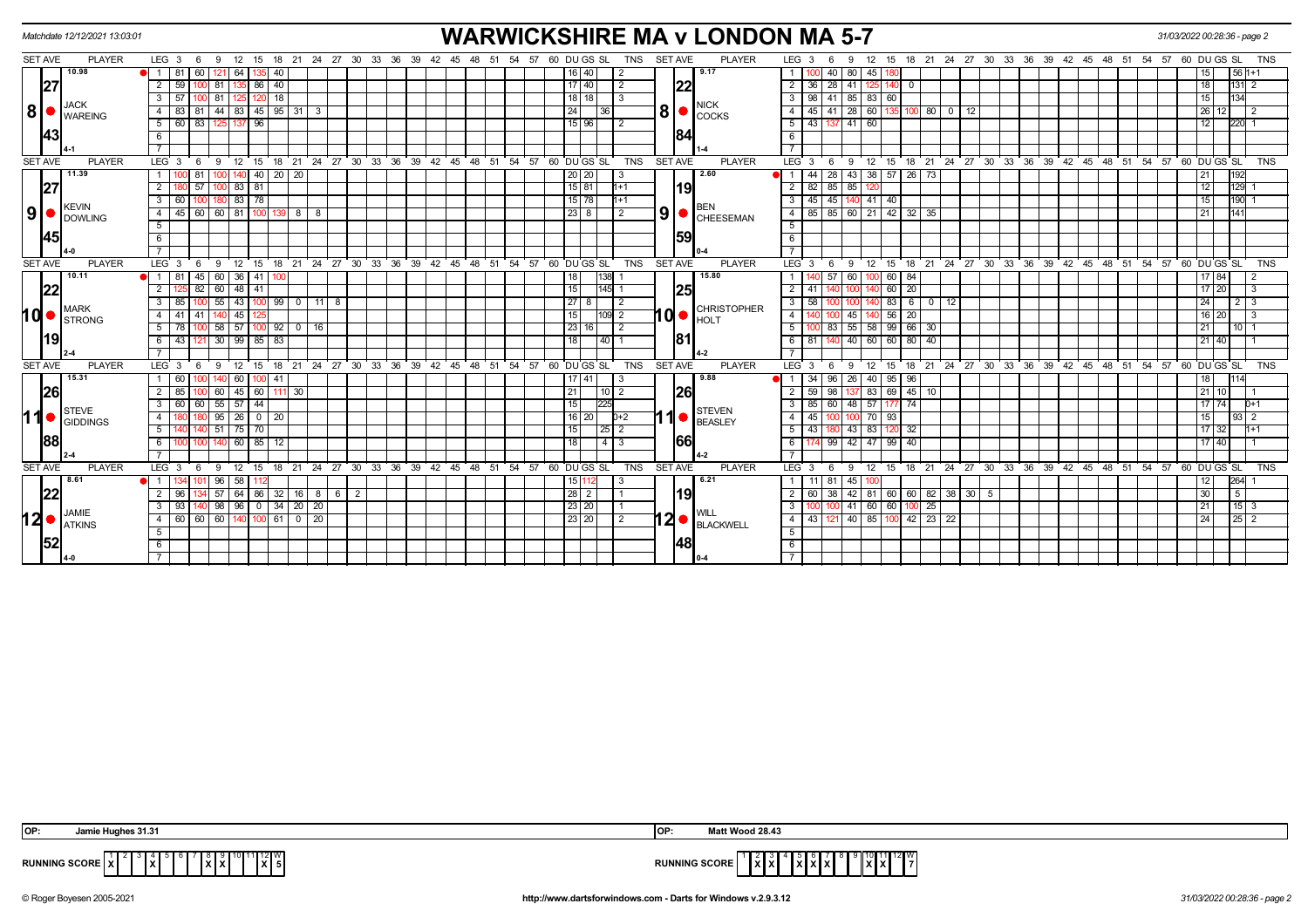|                |           | Matchdate 12/12/2021 13:03:01                         |                         |                |     |                   |             |                                                    |                 |                         |                |  |       |    |                                                            |       |    |                  |                |                |                |      | <b>WARWICKSHIRE MA v LONDON MA 5-7</b> |                |                      |      |                    |        |                                      |    |             |    |  |                                                         |  |  | 31/03/2022 00:28:36 - page 2 |           |                 |            |
|----------------|-----------|-------------------------------------------------------|-------------------------|----------------|-----|-------------------|-------------|----------------------------------------------------|-----------------|-------------------------|----------------|--|-------|----|------------------------------------------------------------|-------|----|------------------|----------------|----------------|----------------|------|----------------------------------------|----------------|----------------------|------|--------------------|--------|--------------------------------------|----|-------------|----|--|---------------------------------------------------------|--|--|------------------------------|-----------|-----------------|------------|
| <b>SET AVE</b> |           | <b>PLAYER</b>                                         | $LEG_36$                |                | - 9 |                   |             |                                                    |                 |                         |                |  |       |    | 12 15 18 21 24 27 30 33 36 39 42 45 48 51 54 57 60 DUGS SL |       |    |                  |                | TNS            | <b>SET AVE</b> |      | <b>PLAYER</b>                          |                | LEG <sub>3</sub>     | 6    | 9                  | - 12   |                                      |    |             |    |  | 15 18 21 24 27 30 33 36 39 42 45 48 51 54 57 60 DUGS SL |  |  |                              |           |                 | TNS        |
|                |           | 10.98                                                 | $\mathbf{1}$            | -81<br>60      | 121 | 64                |             | 40                                                 |                 |                         |                |  |       |    |                                                            |       |    | 16   40          |                |                |                |      | 9.17                                   | $\mathbf{1}$   |                      | 40   |                    | 80 45  |                                      |    |             |    |  |                                                         |  |  |                              |           | $561+1$         |            |
|                | 27        |                                                       | $\overline{2}$          | 59             | 81  |                   | 86          | 40                                                 |                 |                         |                |  |       |    |                                                            |       |    | 17 40            |                | 2              |                | 22   |                                        | $\overline{2}$ | 36                   | 28   | 41                 |        |                                      |    |             |    |  |                                                         |  |  | 18                           |           |                 |            |
|                |           |                                                       | 3                       | 57             | 81  |                   |             | $120$ 18                                           |                 |                         |                |  |       |    |                                                            |       |    | $18$   18        |                | -3             |                |      |                                        |                | 3 I<br>98            | 41   | 85 83 60           |        |                                      |    |             |    |  |                                                         |  |  | 15                           |           | 134             |            |
| 8 •            |           | <b>JACK</b><br><b>WAREING</b>                         | 4                       | 83             |     |                   |             | 44   83   45   95   31                             |                 |                         |                |  |       |    |                                                            |       |    | 24               | 36             |                | 8              |      | <b>NICK</b><br>COCKS                   | $\overline{4}$ | 45                   | 41   | $28 \mid 60$       |        |                                      | 80 | $\mathbf 0$ | 12 |  |                                                         |  |  | 26                           | 12 I      |                 |            |
|                |           |                                                       | 5 <sup>5</sup>          | 60 83          | 125 |                   | 96          |                                                    |                 |                         |                |  |       |    |                                                            |       |    | 15   96          |                | 2              |                |      |                                        |                | $5 \mid 43 \mid$     | 137  | $41 \overline{60}$ |        |                                      |    |             |    |  |                                                         |  |  | 12                           |           | $220$ 1         |            |
|                | 43        |                                                       | 6                       |                |     |                   |             |                                                    |                 |                         |                |  |       |    |                                                            |       |    |                  |                |                |                |      |                                        | 6              |                      |      |                    |        |                                      |    |             |    |  |                                                         |  |  |                              |           |                 |            |
|                |           |                                                       |                         |                |     |                   |             |                                                    |                 |                         |                |  |       |    |                                                            |       |    |                  |                |                |                |      |                                        |                |                      |      |                    |        |                                      |    |             |    |  |                                                         |  |  |                              |           |                 |            |
| <b>SET AVE</b> |           | <b>PLAYER</b>                                         | LEG <sup>3</sup>        | - 6            | 9   |                   | ່ 12 ່ 15 ່ |                                                    |                 |                         |                |  |       |    | 18 21 24 27 30 33 36 39 42 45 48 51 54 57 60 DUGS SL       |       |    |                  |                | TNS            | <b>SET AVE</b> |      | <b>PLAYER</b>                          |                | LEG <sup>3</sup>     | 6    | -9                 | 12     |                                      |    |             |    |  | 15 18 21 24 27 30 33 36 39 42 45 48 51 54 57 60 DUGS SL |  |  |                              |           |                 | <b>TNS</b> |
|                |           | 11.39                                                 |                         |                |     |                   |             | 40 20 20                                           |                 |                         |                |  |       |    |                                                            |       |    | 20 20            |                | -3             |                |      | 2.60                                   |                |                      | 28   |                    |        | 43 38 57 26 73                       |    |             |    |  |                                                         |  |  | 21                           |           | 192             |            |
|                | 27        |                                                       | $\overline{2}$          | 57             | юэ  |                   | 83 81       |                                                    |                 |                         |                |  |       |    |                                                            |       |    | 15 81            |                | $1+1$          |                | 19   |                                        | $\overline{2}$ | 82                   | 85   | 85                 |        |                                      |    |             |    |  |                                                         |  |  |                              |           | 129             |            |
|                |           |                                                       | $\overline{\mathbf{3}}$ | 60             |     |                   | 83 78       |                                                    |                 |                         |                |  |       |    |                                                            |       |    | 15 78            |                | 1+1            |                |      |                                        | $\overline{3}$ | 45                   | 45   |                    | 140 41 | 40                                   |    |             |    |  |                                                         |  |  |                              |           | $190 -$         |            |
| 9              |           | KEVIN<br>DOWLING                                      | 4                       | 45<br>60 I     |     | $60$ 81           | 100 L       | 139                                                | 888             |                         |                |  |       |    |                                                            |       |    | $23$ 8           |                | -2             | 9 <sup>1</sup> |      | <b>BEN</b><br>CHEESEMAN                |                |                      |      |                    |        | 4   85   85   60   21   42   32   35 |    |             |    |  |                                                         |  |  | 21                           |           |                 |            |
|                |           |                                                       | 5                       |                |     |                   |             |                                                    |                 |                         |                |  |       |    |                                                            |       |    |                  |                |                |                |      |                                        | $5^{\circ}$    |                      |      |                    |        |                                      |    |             |    |  |                                                         |  |  |                              |           |                 |            |
|                | 45        |                                                       | 6                       |                |     |                   |             |                                                    |                 |                         |                |  |       |    |                                                            |       |    |                  |                |                |                | 59   |                                        | 6              |                      |      |                    |        |                                      |    |             |    |  |                                                         |  |  |                              |           |                 |            |
|                |           |                                                       | $\overline{7}$          |                |     |                   |             |                                                    |                 |                         |                |  |       |    |                                                            |       |    |                  |                |                |                |      |                                        | 7              |                      |      |                    |        |                                      |    |             |    |  |                                                         |  |  |                              |           |                 |            |
| <b>SET AVE</b> |           | <b>PLAYER</b>                                         | LEG <sub>3</sub>        | - 6            | 9   |                   | ່ 12 ່ 15 ່ |                                                    |                 |                         |                |  |       |    | 18 21 24 27 30 33 36 39 42 45 48 51 54 57 60 DUGS SL       |       |    |                  |                | TNS            | <b>SET AVE</b> |      | <b>PLAYER</b>                          |                | LEG <sup>3</sup>     | 6    | $9 \quad 12$       |        |                                      |    |             |    |  | 15 18 21 24 27 30 33 36 39 42 45 48 51 54 57 60 DUGS SL |  |  |                              |           |                 | <b>TNS</b> |
|                |           | 10.11                                                 | 1 I                     | 81<br>45       |     | 60 36 41          |             |                                                    |                 |                         |                |  |       |    |                                                            |       |    |                  | 138            |                |                |      | 15.80                                  |                |                      | 57   | 60                 |        | 60 84                                |    |             |    |  |                                                         |  |  |                              | 17   84   |                 |            |
|                | 22        |                                                       | $\overline{2}$          | 82             |     | 60 48 41          |             |                                                    |                 |                         |                |  |       |    |                                                            |       |    | 15               | $1145$ 1       |                |                | 25   |                                        |                | $2 \mid 41$          |      |                    |        | $60$ 20                              |    |             |    |  |                                                         |  |  |                              | $17 \ 20$ | $\overline{13}$ |            |
|                |           | <b>I</b> MARK                                         | 3                       |                | 55  |                   |             | 43   100   99                                      |                 | $0$   11   8            |                |  |       |    |                                                            |       |    | 27 8             |                |                |                |      | <b>CHRISTOPHER</b>                     | 3 I            | 58                   |      |                    |        | 83                                   | 6  | $0$   12    |    |  |                                                         |  |  | 24                           |           | $2 \mid 3$      |            |
| 10I●           |           | <b>STRONG</b>                                         | 4                       | 41<br>l 41     |     | 45                |             |                                                    |                 |                         |                |  |       |    |                                                            |       |    | 15 <sup>1</sup>  |                | 109 2          | $\mathbf{0}$   |      | <b>HOLT</b>                            | 4 I            |                      |      | 45                 |        | $56$ 20                              |    |             |    |  |                                                         |  |  |                              | 16 20     | $\overline{3}$  |            |
|                |           |                                                       | 5 <sup>7</sup>          | 78             |     |                   |             | 58 57 100 92 0 16                                  |                 |                         |                |  |       |    |                                                            |       |    | 23 16            |                | $\overline{2}$ |                |      |                                        | 5 <sup>5</sup> |                      | 83   | $55 \mid 58$       |        | 99   66   30                         |    |             |    |  |                                                         |  |  | 21                           |           | 10 <sup>1</sup> |            |
|                | 19        |                                                       | 6                       | 43             |     | 30   99   85   83 |             |                                                    |                 |                         |                |  |       |    |                                                            |       |    |                  | 40             |                |                | 181  |                                        |                | 6   81               |      |                    | 40 60  | 60 80 40                             |    |             |    |  |                                                         |  |  |                              | 21 40     |                 |            |
|                |           |                                                       |                         |                |     |                   |             |                                                    |                 |                         |                |  |       |    |                                                            |       |    |                  |                |                |                |      |                                        |                |                      |      |                    |        |                                      |    |             |    |  |                                                         |  |  |                              |           |                 |            |
| <b>SET AVE</b> |           | <b>PLAYER</b>                                         | LEG <sub>3</sub>        | - 6            | 9   | 12                | 15          | 18                                                 | $^{\circ}$ 21   |                         |                |  |       |    | 24 27 30 33 36 39 42 45 48 51 54 57 60 DUGS SL             |       |    |                  |                | <b>TNS</b>     | <b>SET AVE</b> |      | <b>PLAYER</b>                          |                | LEG <sub>3</sub>     | -6   | 9                  | 12     | 15                                   | 18 |             |    |  | 21 24 27 30 33 36 39 42 45 48 51 54 57 60 DUGS SL       |  |  |                              |           |                 | <b>TNS</b> |
|                |           | 15.31                                                 |                         | 60             |     | 60                |             | 00  41                                             |                 |                         |                |  |       |    |                                                            |       |    |                  | l 41           | -3             |                |      | 9.88                                   |                |                      | 96   | 26                 | - 40   | 95                                   | 96 |             |    |  |                                                         |  |  |                              |           |                 |            |
|                | <b>26</b> |                                                       | 2                       | 85             | 60  |                   |             | $145$ 60   111                                     | 30 <sup>1</sup> |                         |                |  |       |    |                                                            |       |    | 21               |                | 10   2         |                | 26   |                                        | $\overline{2}$ | 59                   | 98   |                    | 83     | $69$ 45 10                           |    |             |    |  |                                                         |  |  |                              | $21$ 10   |                 |            |
|                |           | STEVE                                                 | 3                       | 60 60 55 57 44 |     |                   |             |                                                    |                 |                         |                |  |       |    |                                                            |       |    | 15 <sub>l</sub>  | 225            |                |                |      | <b>STEVEN</b>                          |                |                      |      |                    |        | 3   85   60   48   57   177   74     |    |             |    |  |                                                         |  |  |                              | 17174     |                 | $D+1$      |
| 11●            |           | GIDDINGS                                              | $\overline{4}$          |                |     | $95$ 26 0 20      |             |                                                    |                 |                         |                |  |       |    |                                                            |       |    | 16   20          |                | $D+2$          |                |      | <b>BEASLEY</b>                         | $\overline{4}$ | 45                   |      |                    | 100 70 | 93                                   |    |             |    |  |                                                         |  |  | 15                           |           | $93 \mid 2$     |            |
|                |           |                                                       | 5 <sup>5</sup>          |                |     | $51 \ 75 \ 70$    |             |                                                    |                 |                         |                |  |       |    |                                                            |       |    | 15 I             | 25             | $\sqrt{2}$     |                |      |                                        |                | 5   43               | 1801 | 43 83              |        | $120 - 32$                           |    |             |    |  |                                                         |  |  |                              | 17 32     |                 | $1 + 1$    |
|                | 88        |                                                       | 6                       |                |     |                   |             | 60 85 12                                           |                 |                         |                |  |       |    |                                                            |       |    | 18 <sup>1</sup>  | $\overline{4}$ |                |                | 166  |                                        | 6              |                      | 99   | $42 \mid 47$       |        | 99   40                              |    |             |    |  |                                                         |  |  |                              | 17 40     |                 |            |
|                |           |                                                       |                         |                |     |                   |             |                                                    |                 |                         |                |  |       |    |                                                            |       |    |                  |                |                |                |      | $4 - 2$                                |                |                      |      |                    |        |                                      |    |             |    |  |                                                         |  |  |                              |           |                 |            |
| <b>SET AVE</b> |           | <b>PLAYER</b>                                         | LEG $3 \t6$             |                | - 9 |                   | 12 15       |                                                    |                 | 18 21 24 27 30 33 36 39 |                |  | 42 45 | 48 |                                                            | 51 54 | 57 |                  | 60 DU GS SL    | TNS            | <b>SET AVE</b> |      | <b>PLAYER</b>                          |                | LEG <sub>3</sub>     | - 6  | -9                 | 12     |                                      |    |             |    |  | 15 18 21 24 27 30 33 36 39 42 45 48 51 54 57 60 DUGS SL |  |  |                              |           |                 | TNS        |
|                |           | 8.61                                                  | $\overline{1}$          |                | 96  | 58                |             |                                                    |                 |                         |                |  |       |    |                                                            |       |    |                  |                |                |                |      | 6.21                                   |                |                      | 81   | 45                 |        |                                      |    |             |    |  |                                                         |  |  | 12                           |           | 264             |            |
|                | 22        |                                                       |                         | 96             |     |                   |             | $57 \mid 64 \mid 86 \mid 32 \mid 16 \mid 8 \mid 6$ |                 |                         | $\overline{2}$ |  |       |    |                                                            |       |    | $28 \mid 2 \mid$ |                |                |                | l19l |                                        |                | 2 <sub>1</sub><br>60 | 38   |                    |        | 42 81 60 60 82 38 30 5               |    |             |    |  |                                                         |  |  | 30                           |           | 5 <sub>5</sub>  |            |
|                |           | <b>JAMIE</b>                                          | $\mathbf{3}$            | 93             |     |                   |             | 98   96   0   34   20   20                         |                 |                         |                |  |       |    |                                                            |       |    | 23 20            |                |                |                |      | <b>WILL</b>                            | $\frac{1}{2}$  |                      |      |                    | 41 60  | 60 100 25                            |    |             |    |  |                                                         |  |  | 21                           |           | $15 \mid 3$     |            |
|                |           | $12$ $\bullet$ $\frac{14 \text{MHz}}{4 \text{TKINS}}$ | $\overline{4}$          |                |     |                   |             | 60 60 60 140 100 61 0 20                           |                 |                         |                |  |       |    |                                                            |       |    | 23 20            |                | 2              |                |      | $12 \bullet$ BLACKWELL                 |                | $4$   43   121       |      |                    |        | 40 85 100 42 23 22                   |    |             |    |  |                                                         |  |  | 24                           |           | $25 \quad 2$    |            |
|                |           |                                                       | 5                       |                |     |                   |             |                                                    |                 |                         |                |  |       |    |                                                            |       |    |                  |                |                |                |      |                                        | $5^{\circ}$    |                      |      |                    |        |                                      |    |             |    |  |                                                         |  |  |                              |           |                 |            |
|                | 52        |                                                       | 6                       |                |     |                   |             |                                                    |                 |                         |                |  |       |    |                                                            |       |    |                  |                |                |                |      |                                        | 6              |                      |      |                    |        |                                      |    |             |    |  |                                                         |  |  |                              |           |                 |            |
|                |           |                                                       |                         |                |     |                   |             |                                                    |                 |                         |                |  |       |    |                                                            |       |    |                  |                |                |                |      |                                        |                |                      |      |                    |        |                                      |    |             |    |  |                                                         |  |  |                              |           |                 |            |

| IOP:           | .<br>1es 31.31<br>Jamı             | IOP:                 | Matt Wood 28.4?                                                  |
|----------------|------------------------------------|----------------------|------------------------------------------------------------------|
| <b>RUNNING</b> | $- - - - -$<br>$\cdot$<br>- JUURL. | <b>RUNNING SCORE</b> | . 1121V<br>.<br>$\sim$ $\sim$<br>8 A B A<br>$\cdots$<br>. .<br>. |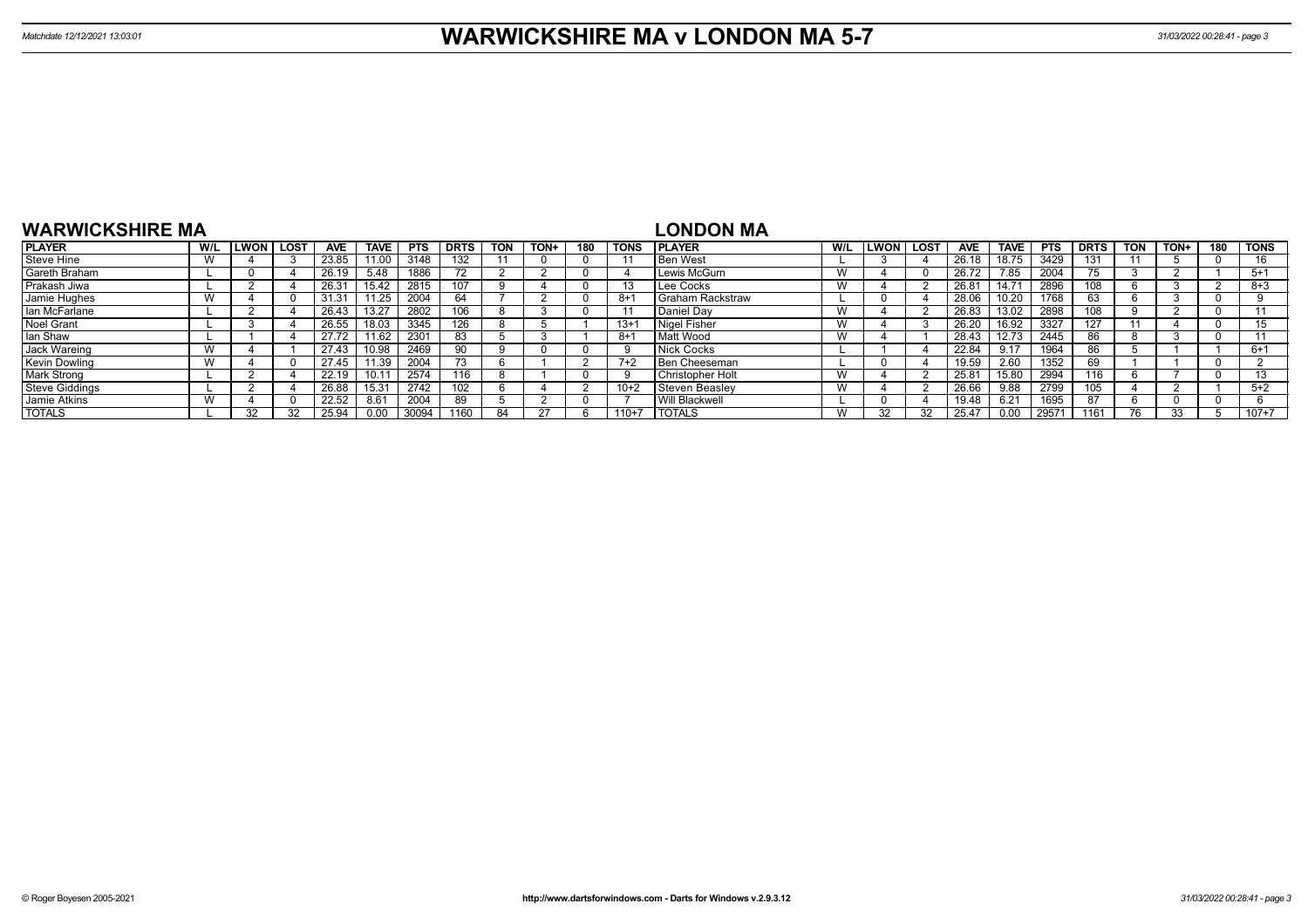| <b>WARWICKSHIRE MA</b> |     |              |      |            |                |            |             |            |      |     |             | LONDON MA          |     |             |      |                |       |            |                  |                          |      |     |             |
|------------------------|-----|--------------|------|------------|----------------|------------|-------------|------------|------|-----|-------------|--------------------|-----|-------------|------|----------------|-------|------------|------------------|--------------------------|------|-----|-------------|
| <b>PLAYER</b>          | W/L | <b>ILWON</b> | LOST | <b>AVE</b> | <b>TAVE</b>    | <b>PTS</b> | <b>DRTS</b> | <b>TON</b> | TON+ | 180 | <b>TONS</b> | <b>IPLAYER</b>     | W/L | <b>LWON</b> | LOST | <b>AVE</b>     | TAVE  | <b>PTS</b> | <b>DRTS</b>      | <b>TON</b>               | TON+ | 180 | <b>TONS</b> |
| Steve Hine             |     |              |      | 23.85      | 11.00          | 3148       | 132         |            |      |     |             | <b>Ben West</b>    |     |             |      | 26.18          | 18.75 | 3429       | 131              |                          |      |     | 16          |
| Gareth Braham          |     |              |      | 26.19      | 5.48           | 1886       | 72          |            |      |     |             | Lewis McGurn       | W   |             |      | 26.72          | 7.85  | 2004       | --<br>$\sqrt{5}$ |                          |      |     | $5+1$       |
| Prakash Jiwa           |     |              |      | 26.3'      | 5.42           | 2815       |             |            |      |     |             | Lee Cocks          | W   |             |      | 26.81          |       | 2896       | 108              |                          |      |     | $8 + 3$     |
| Jamie Hughes           |     |              |      | 31.31      | 1.25           | 2004       | 64          |            |      |     | -8+         | I Graham Rackstraw |     |             |      | 28.06          | 10.20 | 1768       | 63.              |                          |      |     |             |
| lan McFarlane          |     |              |      | 26.43      |                | 2802       | 10C         |            |      |     |             | Daniel Dav         | W   |             |      | 26.83          | 13.02 | 2898       | 108              |                          |      |     |             |
| <b>Noel Grant</b>      |     |              |      | 26.55      | 8.03           | 3345       | 126         |            |      |     | $13 +$      | Nigel Fisher       | W   |             |      | 26.20          | 16.92 | 3327       | 127              |                          |      |     |             |
| lan Shaw               |     |              |      | 27.72      | 1.62           | 2301       | 83          |            |      |     | 8+1         | Matt Wood          | W   |             |      | 28.43          | 12.73 | 2445       | 86               |                          |      |     |             |
| Jack Wareing           |     |              |      | 27.43      | 0.98           | 2469       | 90          |            |      |     | c           | <b>Nick Cocks</b>  |     |             |      | 22.84          | 9.17  | 1964       | 86               |                          |      |     | $6+1$       |
| <b>Kevin Dowling</b>   |     |              |      | 27.45      | 11.39          | 2004       |             |            |      |     | $7+2$       | Ben Cheeseman      |     |             |      | 19.59          | 2.60  | 1352       | 69               |                          |      |     |             |
| <b>Mark Strong</b>     |     |              |      | 22.19      | 10.1           | 2574       | 116         |            |      |     | - q         | Christopher Holt   | W   |             |      | $25.8^{\circ}$ | 15.80 | 2994       | 116              |                          |      |     | $\sqrt{2}$  |
| <b>Steve Giddings</b>  |     |              |      | 26.88      | $15.3^{\circ}$ | 2742       | 102         |            |      |     | $10+2$      | Steven Beaslev     | W   |             |      | 26.66          | 9.88  | 2799       | 105              |                          |      |     | $5+2$       |
| Jamie Atkins           |     |              |      | 22.52      | 8.61           | 2004       | 89          |            |      |     |             | Will Blackwell     |     |             |      | 19.48          | 6.21  | 1695       |                  |                          |      |     |             |
| <b>TOTALS</b>          |     | 32           | 32   | 25.94      | 0.00           | 30094      | 1160        |            |      |     | $110+7$     | <b>I TOTALS</b>    | W   |             | າາ   | 25.47          | 0.00  | 29571      | 161              | $\overline{\phantom{a}}$ | 33   |     | $107 + 7$   |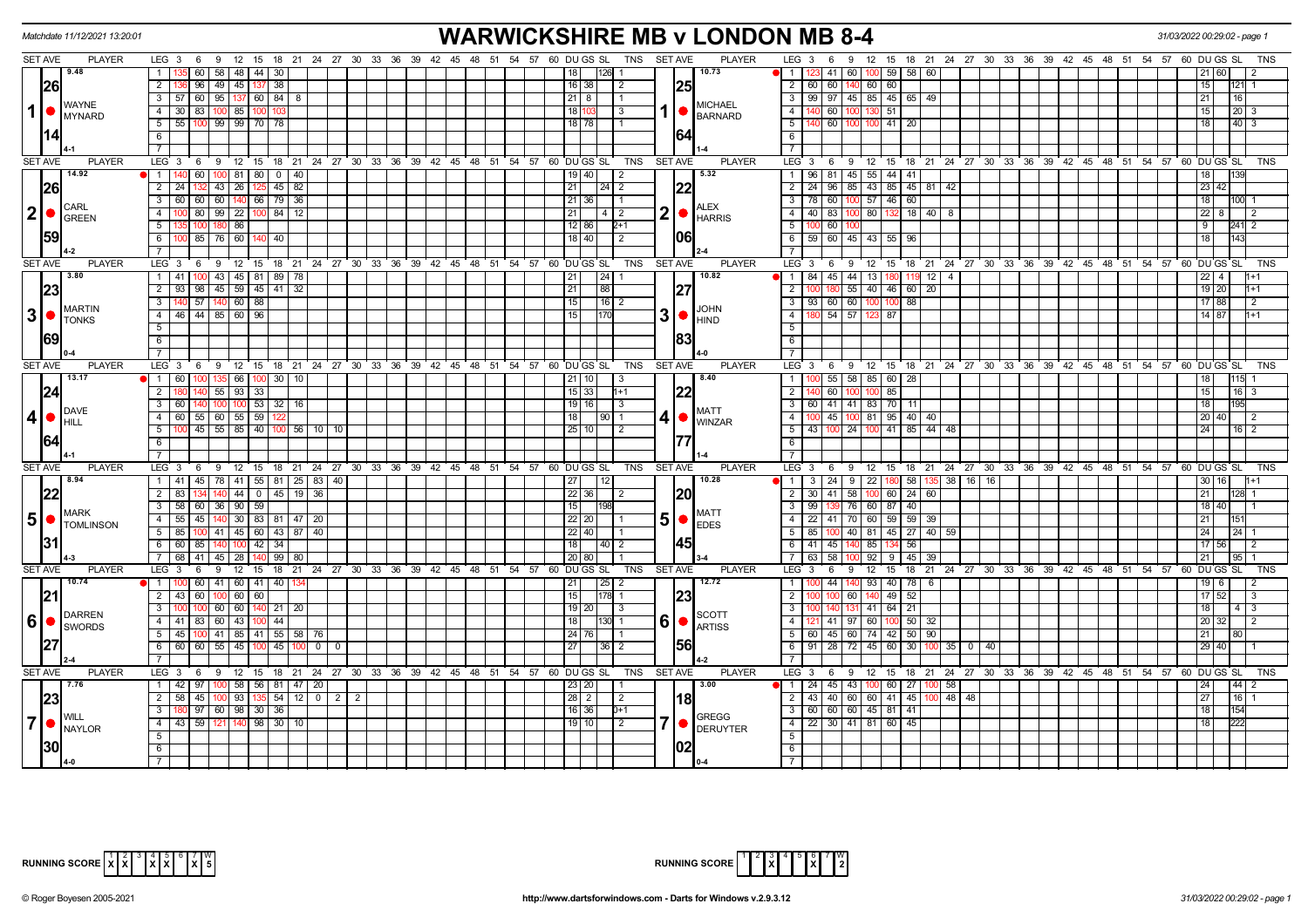|                | Matchdate 11/12/2021 13:20:01                |                                                                                                                                              | <b>WARWICKSHIRE MB v LONDON MB 8-4</b>                          |                                                                                                                                        | 31/03/2022 00:29:02 - page 1   |
|----------------|----------------------------------------------|----------------------------------------------------------------------------------------------------------------------------------------------|-----------------------------------------------------------------|----------------------------------------------------------------------------------------------------------------------------------------|--------------------------------|
|                | <b>SET AVE</b><br><b>PLAYER</b>              | LEG 3 6 9 12 15 18 21 24 27 30 33 36 39 42 45 48                                                                                             | 51 54 57 60 DU GS SL<br>TNS SET AVE                             | <b>PLAYER</b><br>$LEG_36$<br>12 15 18 21 24 27 30 33 36 39 42 45 48 51 54 57 60 DUGS SL<br>9                                           |                                |
|                | 19.48                                        | 60   58   48   44   30<br>$\overline{1}$                                                                                                     | 10.73<br>18<br>126 1                                            | 123 41 60 100 59 58 60<br>I 1                                                                                                          |                                |
|                | <b>26</b>                                    | 96 49 45 137 38<br>$\overline{2}$                                                                                                            | 16 38<br>$\overline{2}$<br>1251                                 | $\overline{2}$<br>60 60 140 60 60                                                                                                      | 15 <sub>1</sub><br>21          |
|                | <b>WAYNE</b>                                 | $3 \mid 57 \mid 60 \mid 95 \mid 137 \mid 60 \mid 84 \mid 8$                                                                                  | $21 \mid 8$<br><b>MICHAEL</b>                                   | $\overline{\mathbf{3}}$<br>  99   97   45   85   45   65   49                                                                          | 21<br>16 I                     |
| $\mathbf 1$    | $\bullet$<br>MYNARD                          | 83   100   85<br>$4 \overline{30}$<br>100 10                                                                                                 | 18<br>l 3<br><b>BARNARD</b>                                     | $\overline{4}$<br>140 60 100<br>130 51                                                                                                 | 15<br>$20 \mid 3$              |
|                |                                              | $5$ 55 100 99 99 70 78                                                                                                                       | $18$ 78                                                         | $\overline{5}$<br>140 60 100 100 41 20                                                                                                 | $40 \mid 3$<br>18 <sup>1</sup> |
|                | 1141                                         | 6                                                                                                                                            | 164                                                             | 6                                                                                                                                      |                                |
|                |                                              | $\overline{7}$                                                                                                                               |                                                                 | $\overline{7}$                                                                                                                         |                                |
|                | <b>SET AVE</b><br><b>PLAYER</b>              | LEG <sub>3</sub><br>6 9 12 15 18 21 24 27 30 33 36 39 42 45 48 51 54 57 60 DUGS SL                                                           | <b>TNS</b><br><b>SET AVE</b>                                    | <b>PLAYER</b><br>LEG 3 6 9 12 15 18 21 24 27 30 33 36 39 42 45 48 51 54 57 60 DUGS SL                                                  | TNS                            |
|                | 14.92                                        | 60   100   81   80   0   40<br>1 1 140                                                                                                       | 5.32<br>19   40<br>$\vert$ 2                                    | 96   81   45   55   44   41  <br>$\overline{1}$                                                                                        | 18                             |
|                | 26                                           | $43 \mid 26 \mid$<br>$45 \mid 82$<br>$\overline{2}$<br>125 I<br>l 24                                                                         | 21<br>$\sqrt{24}$ 2                                             | $\overline{2}$<br>24 96 85<br>43 85 45 81 42                                                                                           | $23 \mid 42$                   |
|                | <b>CARL</b>                                  | 60 60 140 66 79 36<br>$\overline{\mathbf{3}}$<br>60                                                                                          | 21 36<br>$\overline{11}$<br><b>ALEX</b>                         | $\overline{3}$<br>78 60<br>57 46<br>60<br>100                                                                                          | 18<br>100                      |
|                | $ 2  \bullet  _{\text{GREEN}}^{\text{CARL}}$ | 80 99 22<br>$\overline{4}$<br>100 84 12                                                                                                      | 2<br>21<br>  4   2<br><b>HARRIS</b>                             | $\overline{4}$<br>80 132<br>18 40 8<br>40   83   100                                                                                   | $22 \quad 8$                   |
|                |                                              | 5<br>86                                                                                                                                      | $12$ 86<br>$2+1$                                                | 5<br>100 60 1                                                                                                                          | 9<br>241 2                     |
|                | <b>159</b>                                   | 6<br>85 76 60<br>40                                                                                                                          | 1061<br>18 40                                                   | 6<br>59 60 45 43 55 96                                                                                                                 | 18                             |
|                |                                              |                                                                                                                                              |                                                                 |                                                                                                                                        |                                |
|                | <b>SET AVE</b><br><b>PLAYER</b>              | LEG 3<br>12<br>15 18 21 24 27 30<br>33 36 39<br>9<br>- 6                                                                                     | 42 45 48<br>51<br>54 57<br>60 DU GS SL<br>TNS<br><b>SET AVE</b> | <b>PLAYER</b><br>LEG <sup>3</sup><br>$12 \quad 15$<br>18 21 24 27 30 33 36 39 42 45 48 51 54 57 60 DUGS SL<br>6<br>-9                  | <b>TNS</b>                     |
|                | 13.80                                        | 100 43 45 81 89 78<br>$1 \overline{41}$                                                                                                      | 24 <br>10.82<br>21                                              | 84 45 44 13<br>$\overline{1}$<br>$12 \mid 4$                                                                                           | $22 \mid 4$                    |
|                | 23                                           | 98 45 59 45 41 32<br>$2 \mid 93$                                                                                                             | 21 <br> 88 <br>1271                                             | 55 40 46 60 20<br>$\overline{2}$                                                                                                       | 19 20                          |
|                | <b>MARTIN</b>                                | $\overline{57}$ 140 60 88<br>$\overline{\mathbf{3}}$                                                                                         | 15<br> 16 2<br><b>JOHN</b>                                      | $93$ 60 60 100 100 88<br>$54 \mid 57$                                                                                                  | 17 88<br>$\overline{2}$        |
|                | $3$ $\bullet$ $\int_{TONKS}^{MAKIIN}$        | $\overline{4}$<br>44 85 60 96<br>46                                                                                                          | 3<br>15<br><b>HIND</b>                                          | $\overline{4}$<br>87                                                                                                                   | $14$ 87<br>1+1                 |
|                | <b>69</b>                                    | $5\overline{)}$<br>$6\overline{6}$                                                                                                           | 83                                                              | $\overline{5}$<br>6                                                                                                                    |                                |
|                |                                              | $\overline{7}$                                                                                                                               |                                                                 | $\overline{7}$                                                                                                                         |                                |
|                | <b>SET AVE</b><br><b>PLAYER</b>              | LEG <sub>3</sub><br>9 12 15 18 21 24 27 30 33 36 39<br>- 6                                                                                   | 42 45 48 51 54 57 60 DUGS SL<br>TNS SET AVE                     | <b>PLAYER</b><br>LEG <sup>3</sup><br>6 9 12 15 18 21 24 27 30 33 36 39 42 45 48 51 54 57 60 DUGS SL                                    | <b>TNS</b>                     |
|                | 13.17                                        | $1 \t 60$<br>135 66<br>30   10<br>100 I                                                                                                      | 8.40<br>$21$ 10<br>- 3                                          | 55 58 85 60<br>$\mathbf{1}$<br>28                                                                                                      |                                |
|                | 24                                           | $2$ 1<br>140 55 93<br>33                                                                                                                     | 22 <br>$15 \mid 33 \mid$<br>1+1                                 | $\overline{2}$<br>140 60 100<br>100 85                                                                                                 | 15<br>16 3                     |
|                |                                              | 100 100 53 32 16<br>$\overline{\mathbf{3}}$<br>60                                                                                            | $19$ 16<br>  3                                                  | 60 41 41 83 70<br>$\overline{\mathbf{3}}$                                                                                              | 18<br>95                       |
| 4 •            | <b>DAVE</b>                                  | 55   60   55   59<br>$\overline{4}$<br>- 60                                                                                                  | <b>MATT</b><br>18 I<br> 90 1<br>4∣●                             | $\overline{4}$<br>100 45 100 81 95 40 40                                                                                               | $20 \mid 40$                   |
|                | IHILL                                        | 45   55   85   40   100   56   10   10<br>5                                                                                                  | <b>WINZAR</b><br>25 10 <br>$\sqrt{2}$                           | $\overline{5}$<br>$100$ 41 85 44 48<br>43 100 24                                                                                       | 24<br>$16$   2                 |
|                | 164                                          | 6                                                                                                                                            |                                                                 | $\overline{6}$                                                                                                                         |                                |
|                |                                              |                                                                                                                                              |                                                                 |                                                                                                                                        |                                |
|                | <b>SET AVE</b><br><b>PLAYER</b>              | LEG <sub>3</sub><br>9 12 15 18 21 24 27 30 33 36 39 42 45 48 51 54 57 60 DUGS SL<br>6                                                        | TNS<br><b>SET AVE</b>                                           | <b>PLAYER</b><br>LEG <sub>3</sub><br>12 15 18 21 24 27 30 33 36 39 42 45 48 51 54 57 60 DUGS SL<br>69                                  | TNS                            |
|                | $\sqrt{8.94}$                                | 1 41 45 78 41 55 81 25 83 40                                                                                                                 | 10.28<br> 27 <br> 12                                            | 3   24   9   22   180   58   135   38   16   16  <br>$\overline{1}$                                                                    | 30 16                          |
|                | 22                                           | $2 \mid 83$<br>$140$ 44 0 45 19<br>36<br>134                                                                                                 | 22 36 <br>$\sqrt{2}$                                            | $\overline{2}$<br>30   41   58   100   60   24   60                                                                                    | 21<br>128                      |
|                | <b>IMARK</b>                                 | 3 58 60 36 90 59                                                                                                                             | 15 <br>198<br><b>MATT</b>                                       | $\overline{3}$<br>99   139   76   60   87   40                                                                                         | 18 40                          |
|                | $5 \cdot 5$ TOMLINSON                        | 4   55   45   140   30   83   81   47   20                                                                                                   | 5<br> 22 20 <br>$\bullet$<br><b>EDES</b>                        | 22   41   70   60   59   59   39  <br>$\overline{4}$                                                                                   | 21                             |
|                |                                              | 100 41 45 60 43 87 40<br>5 85                                                                                                                | 22 40                                                           | 5<br>85   100   40   81   45   27   40   59                                                                                            | 24<br>24                       |
|                | 31                                           | 85   140   100   42   34<br>6 60                                                                                                             | 18<br> 40 2                                                     | 6<br>56<br>41 45 140<br>85 134                                                                                                         | 17 56                          |
|                |                                              | 7 68<br>41   45   28  <br>140  99   80                                                                                                       | 20 80<br>l 1                                                    | $\overline{7}$<br>63   58   100<br>$92$ 9 45<br>-39 I                                                                                  | 21                             |
|                | <b>SET AVE</b><br><b>PLAYER</b>              | LEG 3<br>$9 \quad 12$<br>15 18 21 24 27 30 33 36 39 42 45 48 51 54 57<br>6                                                                   | 60 DUGS SL TNS<br>SET AVE                                       | <b>PLAYER</b><br>$12 \quad 15$<br>18 21 24 27 30 33 36 39 42 45 48 51 54 57 60 DUGS SL<br>LEG 3<br>6<br>9                              | <b>TNS</b>                     |
|                | 10.74                                        | 60 41 60 41 40 134<br>$\blacksquare$                                                                                                         | 12.72<br> 21 <br> 25 2                                          | $\overline{1}$<br>44 140<br>93 40 78<br>6                                                                                              | $19$ 6                         |
|                | 21                                           | 60<br>60<br>$2 \mid 43$<br>$\overline{60}$                                                                                                   | 15 <br> 23 <br>178 1                                            | 52<br>$\overline{2}$<br>60<br>140 49                                                                                                   | $17$ 52                        |
|                | DARREN                                       | $\mathbf{3}$<br>60 I 60 I<br>140   21   20                                                                                                   | 19 20<br>$\vert$ 3<br><b>SCOTT</b>                              | $\overline{3}$<br>$141$ 64 21<br>  131                                                                                                 | 18<br>4 1 3                    |
|                |                                              | $\overline{4}$<br>60<br>44<br>41<br>83<br>l 43                                                                                               | 6<br>18<br>130 1<br>$\bullet$<br><b>ARTISS</b>                  | $\overline{4}$<br>121 41 97<br>60<br>50                                                                                                | 20                             |
|                |                                              | $5\overline{5}$<br>41 85<br>41 55 58<br>76<br>45<br>ınnı                                                                                     | 24 76 <br>1561                                                  | 5<br>60 45 60<br>74 42<br>$\overline{50}$<br>90                                                                                        | 21                             |
|                |                                              | 60<br>$55 \mid 45$<br>6<br>60<br>45<br>$\mathbf{0}$<br>100<br>- 0                                                                            | 27<br>$36$   2                                                  | 6<br>$91$   28   72<br>$45 \ 60$<br>30<br>100 35<br>$\mathbf 0$<br>40<br>$\overline{7}$                                                | 29 40                          |
|                |                                              |                                                                                                                                              |                                                                 |                                                                                                                                        |                                |
|                | <b>SET AVE</b><br><b>PLAYER</b><br>17.76     | LEG <sub>3</sub><br>6 9 12 15 18 21 24 27 30 33 36 39 42 45 48 51 54 57 60 DUGS SL<br>$1 \overline{42}$<br>97   100   58   56   81   47   20 | TNS<br>SET AVE<br>3.00<br>23 20                                 | PLAYER<br>LEG 3 6 9 12 15 18 21 24 27 30 33 36 39 42 45 48 51 54 57 60 DUGS SL<br>24   45   43   100   60   27   100   58<br>$\vert$ 1 | <b>TNS</b><br>24<br>44         |
|                |                                              | 45   100   93   135   54   12   0   2   2<br>$2 \mid 58$                                                                                     | $28$   2<br>$\sqrt{2}$                                          | $\overline{2}$<br>43 40 60 60 41 45 100 48 48                                                                                          | $\overline{27}$                |
|                | 23                                           | 97 60 98 30 36<br>$\mathbf{3}$                                                                                                               | l18l<br>$16$ 36<br>$D+1$                                        | $\overline{\mathbf{3}}$<br>  60   60   60   45   81   41                                                                               | 16  <br>18<br>154              |
| $\overline{7}$ | O                                            | 59   121   140   98   30   10<br>$\overline{4}$<br>43                                                                                        | <b>GREGG</b><br>7<br>$19$ 10<br>$\sqrt{2}$                      | $\overline{4}$<br>22 30 41 81 60 45                                                                                                    | 18                             |
|                | <b>NAYLOR</b>                                | 5                                                                                                                                            | <b>DERUYTER</b>                                                 | $\overline{5}$                                                                                                                         |                                |
|                | <b>30</b>                                    | 6                                                                                                                                            | 102                                                             | 6                                                                                                                                      |                                |
|                |                                              |                                                                                                                                              |                                                                 | $\overline{7}$                                                                                                                         |                                |



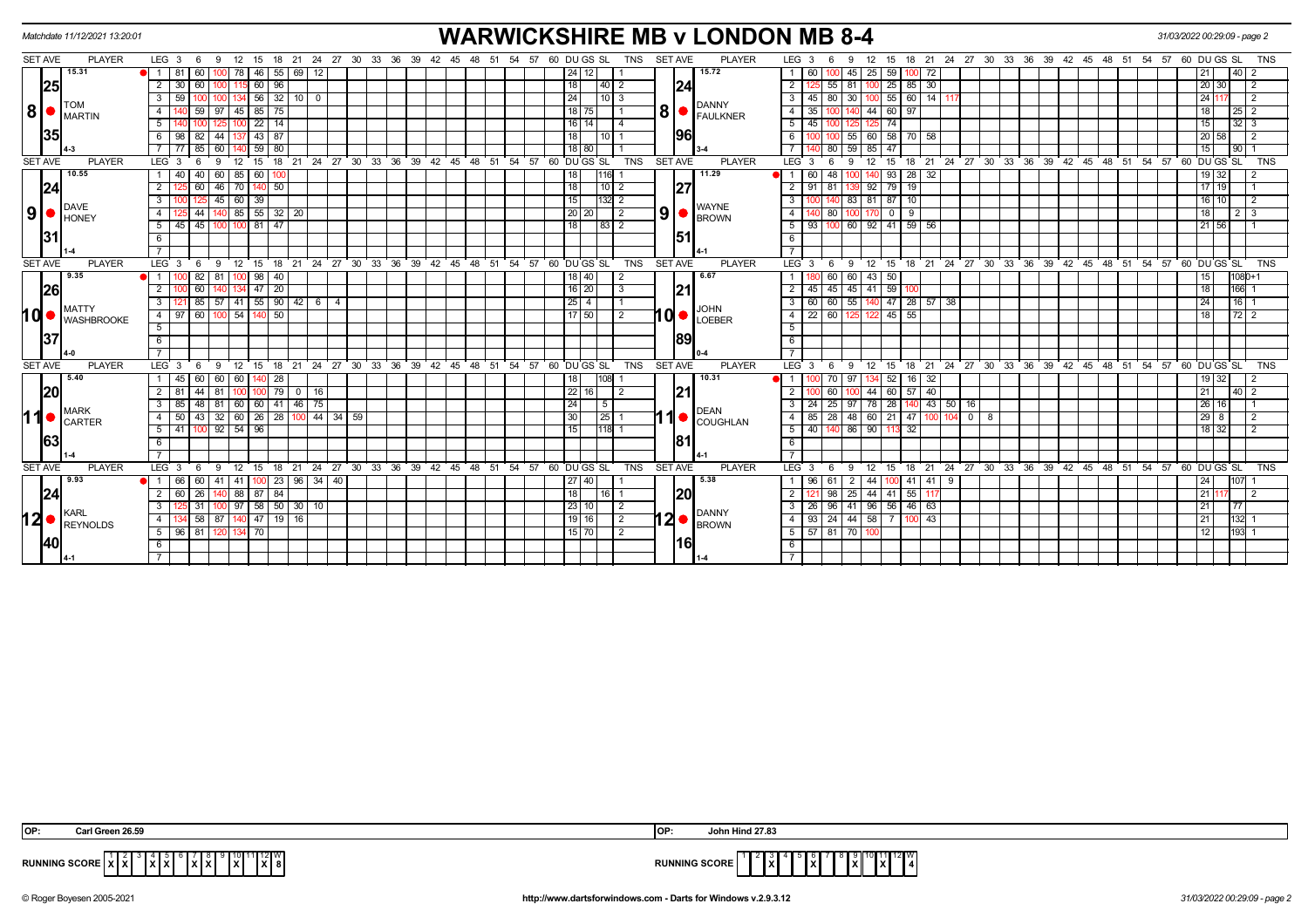|                |                    | Matchdate 11/12/2021 13:20:01                                  |                  |              |                |          |               |                                                            |          |                      |  |                        |  |                                                                             |                 |                  |                |            |                |      | <b>WARWICKSHIRE MB v LONDON MB 8-4</b>       |                           |                           |                                                    |                |                   |    |                             |  |         |  |                                                         |  |                       | 31/03/2022 00:29:09 - page 2 |                 |         |                 |                |
|----------------|--------------------|----------------------------------------------------------------|------------------|--------------|----------------|----------|---------------|------------------------------------------------------------|----------|----------------------|--|------------------------|--|-----------------------------------------------------------------------------|-----------------|------------------|----------------|------------|----------------|------|----------------------------------------------|---------------------------|---------------------------|----------------------------------------------------|----------------|-------------------|----|-----------------------------|--|---------|--|---------------------------------------------------------|--|-----------------------|------------------------------|-----------------|---------|-----------------|----------------|
|                | SET AVE            | <b>PLAYER</b>                                                  | $LEG_36$         |              | - 9            |          |               |                                                            |          |                      |  |                        |  | 12  15  18  21  24  27  30  33  36  39  42  45  48  51  54  57  60  DUGS SL |                 |                  |                | TNS        | <b>SET AVE</b> |      | <b>PLAYER</b>                                |                           | LEG <sub>3</sub>          | -6                                                 | 9              | 12                |    |                             |  |         |  | 15 18 21 24 27 30 33 36 39 42 45 48 51 54 57 60 DUGS SL |  |                       |                              |                 |         |                 | <b>TNS</b>     |
|                |                    | 15.31                                                          | <b>1</b> 1 81    |              | 60 I           | 100      | 78 I          | $46$   55                                                  |          |                      |  |                        |  |                                                                             |                 |                  |                |            |                |      | 15.72                                        |                           | 60                        |                                                    | 45             | $25 \mid 59$      |    | 72                          |  |         |  |                                                         |  |                       |                              |                 |         | 40              |                |
|                | $\vert$ 25 $\vert$ |                                                                | $\overline{2}$   | 30           |                |          |               | 96<br>60                                                   |          |                      |  |                        |  |                                                                             | 18 I            | 40               |                |            |                | 24   |                                              | $\overline{2}$            |                           | 55                                                 | -81            |                   | 25 | $85 \overline{\smash{)}30}$ |  |         |  |                                                         |  |                       |                              | 20              | 30      |                 | $\overline{2}$ |
|                |                    | TOM                                                            | $\mathbf{3}$     | 59           |                | 100      |               | $134$ 56 32 10 0                                           |          |                      |  |                        |  |                                                                             | 24              |                  | 10 3           |            |                |      | <b>DANNY</b>                                 | 3 <sup>1</sup>            | 45                        | 80                                                 | 30 I           |                   |    | $100$ 55 60 14 11           |  |         |  |                                                         |  |                       |                              |                 | 24 117  |                 | $\overline{2}$ |
|                |                    | $\mathbf{8}$ $\bullet$ $\mathbf{I}^\text{Tom}_{\text{MARTIN}}$ | 4                |              |                | 97       |               | $45 \mid 85 \mid 75$                                       |          |                      |  |                        |  |                                                                             |                 | 18   75          |                |            | 8 <sup>1</sup> |      | FAULKNER                                     | $\overline{4}$            | 35                        |                                                    |                | 44 60             |    | 97                          |  |         |  |                                                         |  |                       |                              |                 |         |                 |                |
|                |                    |                                                                | 5                |              |                |          |               | $22$   14                                                  |          |                      |  |                        |  |                                                                             |                 | 16   14          | $\overline{4}$ |            |                |      |                                              | -5 I                      | 45                        |                                                    |                |                   | 74 |                             |  |         |  |                                                         |  |                       |                              | 15              |         | 32   3          |                |
|                | 35                 |                                                                | 6                | 98           | $82 \mid 44$   |          |               | 137 43 87                                                  |          |                      |  |                        |  |                                                                             | 18 I            | l 10             |                |            |                | 1961 |                                              |                           |                           |                                                    | -55 I          |                   |    | 60 58 70 58                 |  |         |  |                                                         |  |                       |                              | 20              | 58      |                 | $\overline{2}$ |
|                |                    |                                                                |                  |              |                | 60       |               | 59   80                                                    |          |                      |  |                        |  |                                                                             |                 | 18 80            |                |            |                |      |                                              |                           |                           |                                                    | 59             | 85                | 47 |                             |  |         |  |                                                         |  |                       |                              | 15              |         | 90 <sub>1</sub> |                |
|                | <b>SET AVE</b>     | <b>PLAYER</b>                                                  | LEG <sub>3</sub> |              | -9             | 12       | 15            | 18                                                         |          | 21 24 27 30 33 36 39 |  | $42 \quad 45 \quad 48$ |  | 51 54 57 60 DUGS SL                                                         |                 |                  |                | <b>TNS</b> | <b>SET AVE</b> |      | <b>PLAYER</b>                                |                           | LEG <sub>3</sub>          |                                                    | -9             | 12                | 15 | 18                          |  |         |  | $21$ 24 27 30 33 36 39 42 45 48 51                      |  | $54$ $57$ 60 DU GS SL |                              |                 |         |                 | <b>TNS</b>     |
|                |                    | 10.55                                                          | 1   40           |              | 40   60        |          | 85   60       | 100                                                        |          |                      |  |                        |  |                                                                             | 18              | 1116             |                |            |                |      | 11.29                                        |                           |                           | 48                                                 |                |                   | 93 | $28 \mid 32$                |  |         |  |                                                         |  |                       |                              |                 | $19$ 32 |                 |                |
|                | 24                 |                                                                | $\overline{2}$   |              | 60             | 46       |               | 70   140   50                                              |          |                      |  |                        |  |                                                                             | 18 <sup>1</sup> |                  | $10$   2       |            |                | 127  |                                              | 2                         | 91                        | 81                                                 |                | $92$ 79           |    | 19                          |  |         |  |                                                         |  |                       |                              |                 | $17$ 19 |                 |                |
|                |                    | <b>DAVE</b>                                                    | 3                |              |                | 45       | 60 39         |                                                            |          |                      |  |                        |  |                                                                             | 15              | 132              | -2             |            |                |      | <b>WAYNE</b>                                 | 3                         |                           |                                                    | 83             | $81$ 87           |    | 10                          |  |         |  |                                                         |  |                       |                              |                 | 10      |                 |                |
| 9 <sup>1</sup> |                    | $\bullet$ HONEY                                                | $\overline{4}$   |              | -44 I          |          |               | 140 85 55 32 20                                            |          |                      |  |                        |  |                                                                             |                 | 20   20          | 2              |            | 9 <sup>1</sup> |      | <b>BROWN</b>                                 | $\overline{4}$            |                           | 80                                                 |                | 170 0             |    | 9                           |  |         |  |                                                         |  |                       |                              | 18              |         | $2 \mid 3$      |                |
|                |                    |                                                                | 5                | 45           | 45             |          |               | 81   47                                                    |          |                      |  |                        |  |                                                                             |                 |                  | 83 2           |            |                |      |                                              | 5                         | 93                        |                                                    | 60             | 92 41             |    | $59 \mid 56$                |  |         |  |                                                         |  |                       |                              |                 | 21 56   |                 |                |
|                | 31                 |                                                                | 6                |              |                |          |               |                                                            |          |                      |  |                        |  |                                                                             |                 |                  |                |            |                | 151  |                                              | 6                         |                           |                                                    |                |                   |    |                             |  |         |  |                                                         |  |                       |                              |                 |         |                 |                |
|                |                    |                                                                |                  |              |                |          |               |                                                            |          |                      |  |                        |  |                                                                             |                 |                  |                |            |                |      |                                              |                           |                           |                                                    |                |                   |    |                             |  |         |  |                                                         |  |                       |                              |                 |         |                 |                |
|                | <b>SET AVE</b>     | <b>PLAYER</b>                                                  | LEG <sub>3</sub> |              | -9<br>-6       |          | $12 \quad 15$ |                                                            |          |                      |  |                        |  | 18 21 24 27 30 33 36 39 42 45 48 51 54 57 60 DUGS SL                        |                 |                  |                | <b>TNS</b> | <b>SET AVE</b> |      | <b>PLAYER</b>                                |                           | $LEG \ 3$                 | -6                                                 | -9             | $12 \overline{ }$ | 15 |                             |  |         |  | 18 21 24 27 30 33 36 39 42 45 48 51 54 57 60 DUGS SL    |  |                       |                              |                 |         |                 | <b>TNS</b>     |
|                |                    | 9.35                                                           |                  |              | 82   81        |          |               | $100$ 98 40                                                |          |                      |  |                        |  |                                                                             |                 | 18 40            | 2              |            |                |      | 6.67                                         |                           |                           | 60                                                 | 60             | 43 50             |    |                             |  |         |  |                                                         |  |                       |                              | 15              |         | $1080+1$        |                |
|                | 26                 |                                                                | $\overline{2}$   |              | 60             |          |               | $147$ 20                                                   |          |                      |  |                        |  |                                                                             |                 | 16 20            | 3              |            |                | 21   |                                              | $\overline{2}$            | 45                        | 45 45 41 59                                        |                |                   |    |                             |  |         |  |                                                         |  |                       |                              | $\overline{18}$ |         | 166             |                |
|                |                    | MATTY                                                          | $\overline{3}$   |              |                |          |               | $85 \mid 57 \mid 41 \mid 55 \mid 90 \mid 42 \mid 6 \mid 4$ |          |                      |  |                        |  |                                                                             |                 | $25 \mid 4 \mid$ |                |            |                |      | <b>JOHN</b>                                  | $\overline{\phantom{a}3}$ |                           | $\overline{60}$ 60 $\overline{55}$ 140 47 28 57 38 |                |                   |    |                             |  |         |  |                                                         |  |                       |                              | 24              |         | 16              |                |
| <b>d</b>       |                    | <b>WASHBROOKE</b>                                              | $4 \mid 97$      |              | 60             | 100      |               | $54$ 140 50                                                |          |                      |  |                        |  |                                                                             |                 | $17$ 50          | 2              |            |                |      | $10o$ LOEBER                                 | $-4$                      | 22                        | 60                                                 | 125 122 45 55  |                   |    |                             |  |         |  |                                                         |  |                       |                              | 18              |         | $72$ 2          |                |
|                |                    |                                                                | 5 <sup>5</sup>   |              |                |          |               |                                                            |          |                      |  |                        |  |                                                                             |                 |                  |                |            |                |      |                                              | 5                         |                           |                                                    |                |                   |    |                             |  |         |  |                                                         |  |                       |                              |                 |         |                 |                |
|                | 137                |                                                                | 6                |              |                |          |               |                                                            |          |                      |  |                        |  |                                                                             |                 |                  |                |            |                | 89   |                                              | 6                         |                           |                                                    |                |                   |    |                             |  |         |  |                                                         |  |                       |                              |                 |         |                 |                |
|                |                    |                                                                |                  |              |                |          |               |                                                            |          |                      |  |                        |  |                                                                             |                 |                  |                |            |                |      |                                              |                           |                           |                                                    |                |                   |    |                             |  |         |  |                                                         |  |                       |                              |                 |         |                 |                |
|                | <b>SET AVE</b>     | <b>PLAYER</b>                                                  | LEG <sub>3</sub> |              | - 9<br>- 6     | 12       |               | $15 \quad 18$                                              |          | 21 24 27 30 33 36 39 |  | $42 \t 45 \t 48$       |  | 51 54 57 60 DU GS SL                                                        |                 |                  |                | <b>TNS</b> | <b>SET AVE</b> |      | <b>PLAYER</b>                                |                           | LEG <sub>3</sub>          | 6                                                  | - 9            | 12                | 15 |                             |  |         |  | 18 21 24 27 30 33 36 39 42 45 48 51                     |  | 54                    | 57 60 DU GS SL               |                 |         |                 | <b>TNS</b>     |
|                |                    | 5.40                                                           |                  | 45           | 60   60        |          |               | 60   140   28                                              |          |                      |  |                        |  |                                                                             |                 |                  |                |            |                |      | 10.31                                        |                           |                           |                                                    | 70   97        | 34 52             |    | 16 32                       |  |         |  |                                                         |  |                       |                              |                 | 32      |                 |                |
|                | 20                 |                                                                | $2 \mid 81$      |              | 44   81        |          |               | $100$ 100 79 0 16                                          |          |                      |  |                        |  |                                                                             |                 | 22 16            | $\overline{2}$ |            |                | 121  |                                              | $\overline{2}$            |                           | 60                                                 |                |                   |    | 44 60 57 40                 |  |         |  |                                                         |  |                       |                              | 21              |         | $40 \mid 2$     |                |
|                |                    | <b>MARK</b>                                                    | 3 I              |              |                |          |               | 85 48 81 60 60 41 46 75                                    |          |                      |  |                        |  |                                                                             | 24              | 5                |                |            |                |      | <b>DEAN</b>                                  | $\overline{3}$            |                           | 24 25 97 78 28 140 43 50 16                        |                |                   |    |                             |  |         |  |                                                         |  |                       |                              |                 | $26$ 16 |                 |                |
| ∣1∣            |                    | <b>CARTER</b>                                                  | 4 I              | 50           |                |          |               | 43 32 60 26 28 100 44 34 59                                |          |                      |  |                        |  |                                                                             | 30              |                  | 25             |            |                |      | <b>COUGHLAN</b>                              | $\overline{4}$            |                           | 85   28   48   60   21   47   100   104            |                |                   |    |                             |  | $0$   8 |  |                                                         |  |                       |                              |                 | $29$ 8  |                 | $\mathcal{P}$  |
|                |                    |                                                                | 5   41           |              | $100$ 92 54 96 |          |               |                                                            |          |                      |  |                        |  |                                                                             | 15              |                  | 1118           |            |                |      |                                              |                           | 5   40   140              |                                                    | 86 90 113      |                   |    | 32                          |  |         |  |                                                         |  |                       |                              |                 | $18$ 32 |                 |                |
|                | 63                 |                                                                | 6                |              |                |          |               |                                                            |          |                      |  |                        |  |                                                                             |                 |                  |                |            |                | 181  |                                              | 6                         |                           |                                                    |                |                   |    |                             |  |         |  |                                                         |  |                       |                              |                 |         |                 |                |
|                |                    |                                                                | $\overline{7}$   |              |                |          |               |                                                            |          |                      |  |                        |  |                                                                             |                 |                  |                |            |                |      |                                              | $\overline{7}$            |                           |                                                    |                |                   |    |                             |  |         |  |                                                         |  |                       |                              |                 |         |                 |                |
|                | <b>SET AVE</b>     | <b>PLAYER</b>                                                  | LEG <sub>3</sub> |              | - 6<br>- 9     |          |               |                                                            |          |                      |  |                        |  | 12 15 18 21 24 27 30 33 36 39 42 45 48 51 54 57 60 DUGS SL                  |                 |                  |                | TNS        | <b>SET AVE</b> |      | <b>PLAYER</b>                                |                           | LEG <sup>3</sup>          | -6                                                 | -9             | $12 \overline{ }$ |    |                             |  |         |  | 15 18 21 24 27 30 33 36 39 42 45 48 51 54 57 60 DUGS SL |  |                       |                              |                 |         |                 | <b>TNS</b>     |
|                |                    | 9.93                                                           | $\bullet$ 1 66   |              | -60 I          | 41<br>41 |               | $100$ 23                                                   | 96 34 40 |                      |  |                        |  |                                                                             |                 | 27   40          |                |            |                |      | 5.38                                         |                           |                           |                                                    |                |                   |    | $41$ 41 9                   |  |         |  |                                                         |  |                       |                              | 24              |         | 107             |                |
|                | 24                 |                                                                | 2                | $60 \mid 26$ |                |          |               | 140 88 87 84                                               |          |                      |  |                        |  |                                                                             | 18              |                  | 16 1           |            |                | I20l |                                              | 2 <sup>1</sup>            |                           |                                                    | 98 25          | 44 41             |    | $55$ 117                    |  |         |  |                                                         |  |                       |                              | 21              |         |                 | $\overline{2}$ |
|                |                    | KARL                                                           | 3                |              | 31 I           |          |               | $97$ 58 50 30 10                                           |          |                      |  |                        |  |                                                                             |                 | 23 10            | -2             |            |                |      | <b>DANNY</b>                                 | 3 I                       |                           | 26 96                                              | 41 96 56 46 63 |                   |    |                             |  |         |  |                                                         |  |                       |                              |                 |         | 77              |                |
|                |                    | $12 \bullet \vert_{\mathsf{REYNOLDS}}^{\mathsf{KARL}}$         | 4                |              |                |          |               | 58   87   140   47   19   16                               |          |                      |  |                        |  |                                                                             |                 | 19   16          | $\sqrt{2}$     |            |                |      | $12 \bullet  _{\text{BROWN}}^{\text{DANIN}}$ |                           | 4   93   24   44   58   7 |                                                    |                |                   |    | $100$   43                  |  |         |  |                                                         |  |                       |                              | 21              |         | 132             |                |
|                |                    |                                                                | 5 96 81          |              |                | 120      | 134 70        |                                                            |          |                      |  |                        |  |                                                                             |                 | 15   70          | 2              |            |                |      |                                              |                           | 5   57   81   70   100    |                                                    |                |                   |    |                             |  |         |  |                                                         |  |                       |                              | 12              |         | 193             |                |
|                | <b>40</b>          |                                                                | 6                |              |                |          |               |                                                            |          |                      |  |                        |  |                                                                             |                 |                  |                |            |                |      |                                              | - 6                       |                           |                                                    |                |                   |    |                             |  |         |  |                                                         |  |                       |                              |                 |         |                 |                |
|                |                    |                                                                | $7\overline{ }$  |              |                |          |               |                                                            |          |                      |  |                        |  |                                                                             |                 |                  |                |            |                |      |                                              |                           |                           |                                                    |                |                   |    |                             |  |         |  |                                                         |  |                       |                              |                 |         |                 |                |

| OP:<br>n 26.59                                                                 | lo <sub>P</sub> :<br>า Hind 27.8.                                                          |
|--------------------------------------------------------------------------------|--------------------------------------------------------------------------------------------|
| ∣1∥12∥W<br>1717 L<br><b>RUNNING SCORE X X X</b><br>IxIxI<br>IXI 8<br>1 A J A J | 11 12 W<br><b>RUNNING SCORE</b><br>lxl<br>1x I<br>.<br>$\mathbf{r}$<br>. .<br>$\mathbf{I}$ |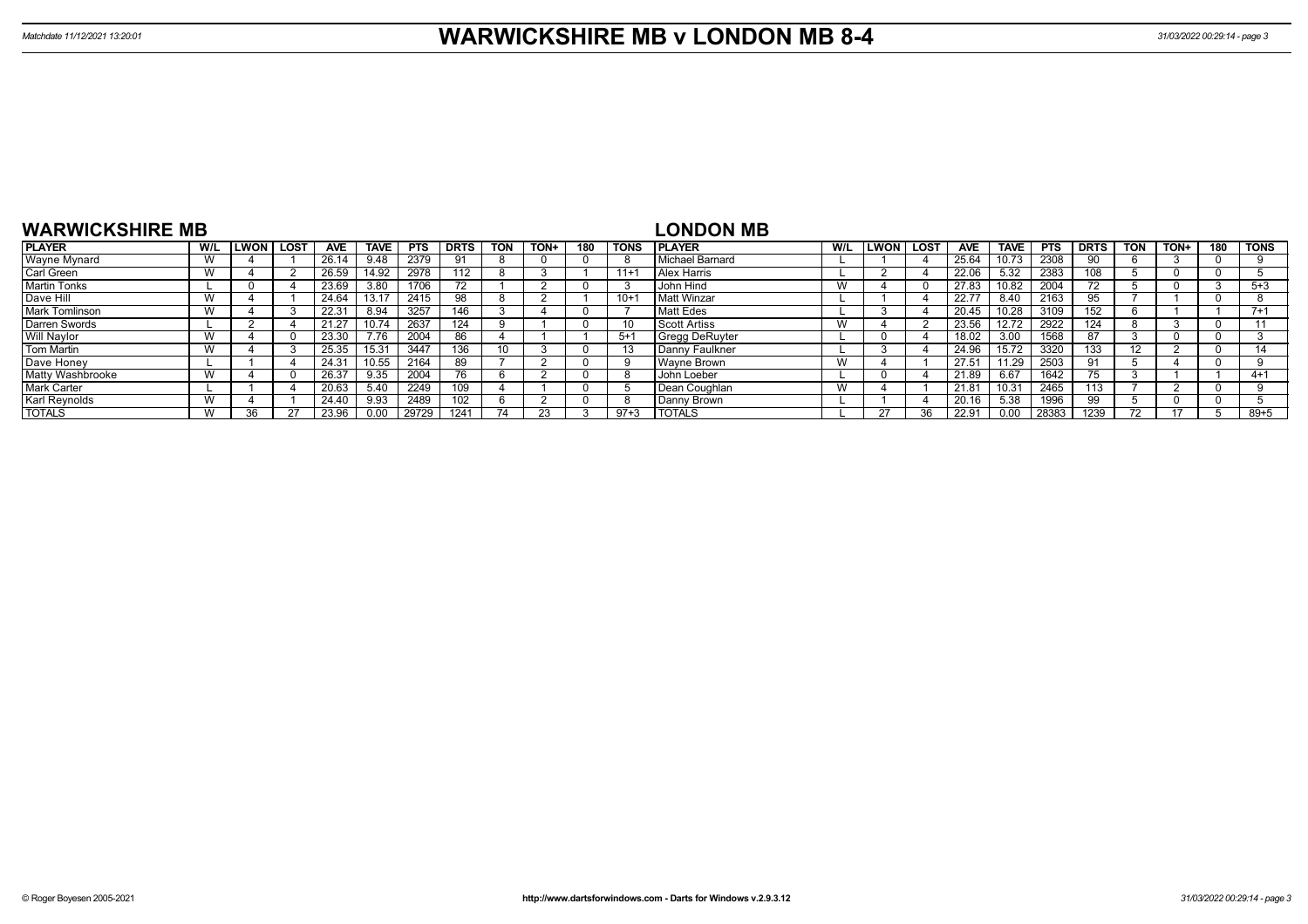| <b>WARWICKSHIRE MB</b> |     |              |             |            |             |            |             |            |      |     |             | <b>LONDON MB</b>      |     |                  |    |                |             |            |             |            |      |          |             |
|------------------------|-----|--------------|-------------|------------|-------------|------------|-------------|------------|------|-----|-------------|-----------------------|-----|------------------|----|----------------|-------------|------------|-------------|------------|------|----------|-------------|
| <b>PLAYER</b>          | W/L | <b>ILWON</b> | <b>LOST</b> | <b>AVE</b> | <b>TAVE</b> | <b>PTS</b> | <b>DRTS</b> | <b>TON</b> | TON+ | 180 | <b>TONS</b> | <b>IPLAYER</b>        | W/L | <b>LWON LOST</b> |    | <b>AVE</b>     | <b>TAVE</b> | <b>PTS</b> | <b>DRTS</b> | <b>TON</b> | TON+ | 180      | <b>TONS</b> |
| <b>Wayne Mynard</b>    |     |              |             | 26.14      | 9.48        | 2379       |             |            |      |     |             | l Michael Barnard     |     |                  |    | 25.64          |             | 2308       |             |            |      | 0        |             |
| Carl Green             |     |              |             | 26.59      | 14.92       | 2978       | 112         |            |      |     | $11+1$      | <b>Alex Harris</b>    |     |                  |    | 22.06          | 5.32        | 2383       | 108         |            |      | 0        |             |
| <b>Martin Tonks</b>    |     | $\Omega$     |             | 23.69      | 3.80        | 1706       |             |            |      |     |             | John Hind             |     |                  |    | 27.83          | 10.82       | 2004       | 72          |            |      | - 3      | $5 + 3$     |
| Dave Hill              |     |              |             | 24.64      |             | 2415       | 98          |            |      |     | $10 + 1$    | <b>Matt Winzar</b>    |     |                  |    | $22.7^{\circ}$ | 8.40        | 2163       |             |            |      | -0       |             |
| <b>Mark Tomlinson</b>  |     |              |             | 22.31      | 8.94        | 3257       | 146         |            |      |     |             | Matt Edes             |     |                  |    | 20.45          | 10.28       | 3109       | 52          |            |      |          | $7 + 1$     |
| Darren Swords          |     |              |             | 21.27      | 10.74       | 2637       | 124         |            |      |     |             | l Scott Artiss        |     |                  |    | 23.56          | 12.72       | 2922       | 124         |            |      | 0        |             |
| Will Naylor            |     |              |             | 23.30      | 7.76        | 2004       | 86          |            |      |     | $5+$        | <b>Gregg DeRuyter</b> |     |                  |    | 18.02          | 3.00        | 1568       | 87          |            |      | 0        |             |
| Tom Martin             |     |              |             | 25.35      | 15.31       | 3447       | 136         | 10         |      |     |             | l Danny Faulkner      |     |                  |    | 24.96          | 15.72       | 3320       | 133         |            |      | -0       |             |
| Dave Honey             |     |              |             | 24.31      | 10.55       | 2164       | 89          |            |      |     |             | Wavne Brown           |     |                  |    | $27.5^{\circ}$ | 11.29       | 2503       |             |            |      | $\Omega$ |             |
| Matty Washbrooke       |     |              |             | 26.37      | 9.35        | 2004       | /h.         |            |      |     |             | John Loeber           |     |                  |    | 21.89          | 6.67        | 1642       | $\sqrt{5}$  |            |      |          | $4+1$       |
| <b>Mark Carter</b>     |     |              |             | 20.63      | 5.40        | 2249       | 109         |            |      |     |             | Dean Coughlan         |     |                  |    | 21.81          | 10.31       | 2465       | 113         |            |      | - 0      |             |
| Karl Reynolds          |     |              |             | 24.40      | 9.93        | 2489       | 102         |            |      |     |             | Danny Brown           |     |                  |    | 20.16          | 5.38        | 1996       | 99          |            |      | $\Omega$ |             |
| <b>TOTALS</b>          |     | 36           |             | 23.96      | 0.00        | 29729      | 1241        |            |      |     | $97 + 3$    | <b>TOTALS</b>         |     |                  | วค | 22.91          | 0.00        | 28383      | 1239        | 70         |      |          | $89 + 5$    |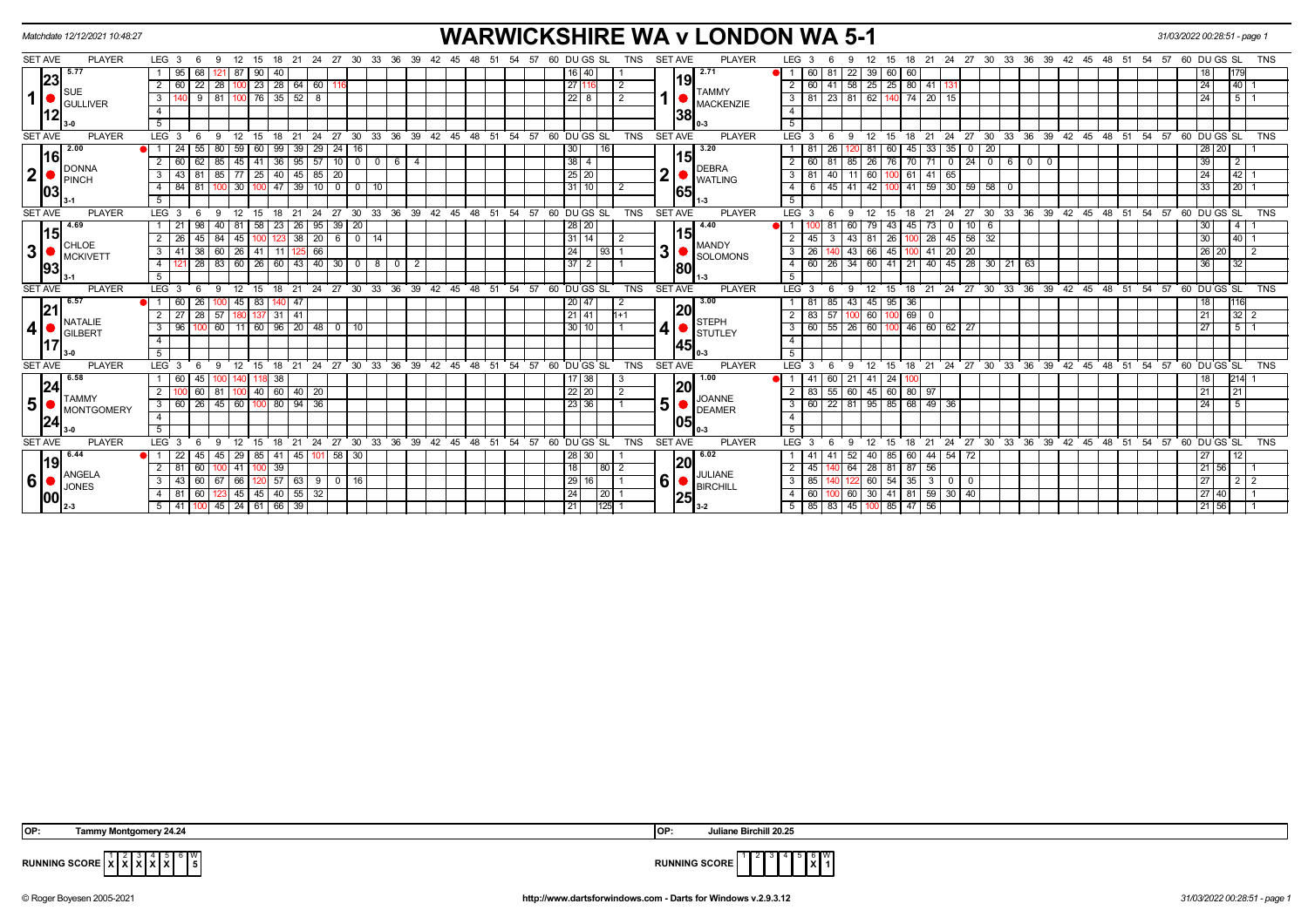|                | Matchdate 12/12/2021 10:48:27                      |                                              |        |                                                                                      |               |                                      |              |                 |             |                        |                |                                     |  |       |     |       |                                                     |                    |                         | <b>WARWICKSHIRE WA v LONDON WA 5-1</b> |                         |                                         |                |                                        |               |             |                |                                           |                  |                               |                |                                                  |    |            |    |    | 31/03/2022 00:28:51 - page 1 |                    |                 |            |
|----------------|----------------------------------------------------|----------------------------------------------|--------|--------------------------------------------------------------------------------------|---------------|--------------------------------------|--------------|-----------------|-------------|------------------------|----------------|-------------------------------------|--|-------|-----|-------|-----------------------------------------------------|--------------------|-------------------------|----------------------------------------|-------------------------|-----------------------------------------|----------------|----------------------------------------|---------------|-------------|----------------|-------------------------------------------|------------------|-------------------------------|----------------|--------------------------------------------------|----|------------|----|----|------------------------------|--------------------|-----------------|------------|
| <b>SET AVE</b> | <b>PLAYER</b>                                      | LEG $3 \quad 6$                              |        | 12<br>- 9                                                                            | - 15          |                                      | -21          | 24 27 30        |             | 33<br>-36              | 39             |                                     |  |       | -57 |       | 60 DU GS SL                                         | TNS                | <b>SET AVE</b>          | <b>PLAYER</b>                          | LEG 3                   |                                         |                |                                        | 15            | 18          | -21<br>- 24    | 27                                        | 30               | 33<br>36                      | 39             | 42                                               | 45 |            | 54 | 57 | 60 DU GS SL                  |                    |                 | TNS        |
|                | $ 23 $ <sup>5.77</sup>                             | $1 \mid 95$                                  | 68     | 87<br>121                                                                            | l 90          | 40                                   |              |                 |             |                        |                |                                     |  |       |     |       | $16 \overline{40}$                                  |                    |                         | 2.71                                   | 11                      | $60$   81                               |                | 22                                     | 39 60 60      |             |                |                                           |                  |                               |                |                                                  |    |            |    |    |                              |                    | 179             |            |
|                | Isue                                               | $\overline{2}$<br>60                         |        | $\sqrt{22}$ $\sqrt{28}$ $\sqrt{100}$ $\sqrt{23}$ $\sqrt{28}$ $\sqrt{64}$ $\sqrt{60}$ |               |                                      |              | 116             |             |                        |                |                                     |  |       |     | 27 11 |                                                     | $\overline{2}$     | 19                      | <b>TAMMY</b>                           | 2 <sup>1</sup>          |                                         |                | 60 41 58 25 25 80 41 131               |               |             |                |                                           |                  |                               |                |                                                  |    |            |    |    |                              | 24                 | 40              |            |
| 1              | <b>GULLIVER</b>                                    | $\mathbf{3}$                                 |        | $9$ 81 100 76 35 52 8                                                                |               |                                      |              |                 |             |                        |                |                                     |  |       |     |       | $22 \mid 8$                                         | 2                  |                         | <b>MACKENZIE</b>                       | 3 <sup>1</sup>          |                                         |                | 81   23   81   62   140   74   20   15 |               |             |                |                                           |                  |                               |                |                                                  |    |            |    |    |                              | 24                 | 511             |            |
|                | 12                                                 | $\overline{4}$                               |        |                                                                                      |               |                                      |              |                 |             |                        |                |                                     |  |       |     |       |                                                     |                    | 38                      |                                        | $\overline{4}$          |                                         |                |                                        |               |             |                |                                           |                  |                               |                |                                                  |    |            |    |    |                              |                    |                 |            |
|                |                                                    | 5                                            |        |                                                                                      |               |                                      |              |                 |             |                        |                |                                     |  |       |     |       |                                                     |                    |                         |                                        | 5                       |                                         |                |                                        |               |             |                |                                           |                  |                               |                |                                                  |    |            |    |    |                              |                    |                 |            |
| <b>SET AVE</b> | <b>PLAYER</b>                                      | LEG <sub>3</sub>                             | - 6    | - 9                                                                                  | $12 \quad 15$ |                                      |              |                 |             |                        |                |                                     |  |       |     |       | 18 21 24 27 30 33 36 39 42 45 48 51 54 57 60 DUGSSL | <b>TNS</b>         | <b>SET AVE</b>          | <b>PLAYER</b>                          | $LEG^3$ 3               |                                         | -9             | 12                                     | 15            |             | 18 21 24       |                                           |                  |                               |                | 27 30 33 36 39 42 45 48 51 54 57 60 DUGS SL      |    |            |    |    |                              |                    |                 | <b>TNS</b> |
|                | 2.00<br>16                                         | $\bullet$ 1 24                               | 55     | 80                                                                                   | 59 60         | 99                                   | $39$ 29      | 24              | 16          |                        |                |                                     |  |       |     | 30    |                                                     | 16                 |                         | 3.20                                   |                         | 81                                      | 26             | 81                                     |               |             |                | 60   45   33   35   0                     | $\vert 20 \vert$ |                               |                |                                                  |    |            |    |    |                              | 28 20              |                 |            |
|                |                                                    | 2<br>60                                      | 62     | 85                                                                                   | $45 \mid 41$  | 36                                   | $95 \mid 57$ | 10              |             | $0$ 0 6                | $\overline{4}$ |                                     |  |       |     |       | $\boxed{38}$ $\boxed{4}$                            |                    | 15                      |                                        | $\overline{2}$          |                                         | l 81           | 85<br>26                               |               |             |                | 76 70 71 0 24 0                           |                  | $\overline{0}$<br>6           | $\overline{0}$ |                                                  |    |            |    |    |                              | 39                 | $\overline{2}$  |            |
| $\mathbf{2}$   | <b>DONNA</b><br><b>PINCH</b>                       | 3 <sup>1</sup>                               | 43 81  | 85 77 25 40 45 85                                                                    |               |                                      |              | 20              |             |                        |                |                                     |  |       |     |       | 25 20                                               |                    | $\overline{\mathbf{2}}$ | <b>DEBRA</b><br><b>WATLING</b>         | 3                       | 81                                      | $\sqrt{40}$    | 11                                     | 60 100 61     |             | $41 \mid 65$   |                                           |                  |                               |                |                                                  |    |            |    |    |                              | 24                 | 42              |            |
|                | 103                                                | 4 84 81                                      |        | 100 <sup>1</sup>                                                                     |               | 30   100   47   39   10   0   0   10 |              |                 |             |                        |                |                                     |  |       |     |       | 31 10                                               | $\overline{2}$     | 65                      |                                        | $\overline{4}$          |                                         |                | 6 45 41 42 100 41 59 30 59 58 0        |               |             |                |                                           |                  |                               |                |                                                  |    |            |    |    |                              | 33                 | $\overline{20}$ |            |
|                |                                                    | 5 <sup>5</sup>                               |        |                                                                                      |               |                                      |              |                 |             |                        |                |                                     |  |       |     |       |                                                     |                    |                         |                                        | 5 <sup>7</sup>          |                                         |                |                                        |               |             |                |                                           |                  |                               |                |                                                  |    |            |    |    |                              |                    |                 |            |
| <b>SET AVE</b> | <b>PLAYER</b>                                      | LEG <sub>3</sub>                             | - 6    | 12<br>-9                                                                             | - 15          | 18                                   |              |                 |             |                        |                |                                     |  |       |     |       | 21 24 27 30 33 36 39 42 45 48 51 54 57 60 DUGS SL   | TNS                | <b>SET AVE</b>          | <b>PLAYER</b>                          | LEG <sub>3</sub>        |                                         |                | 12<br>9                                | 15            | 18          | 21 24          |                                           |                  |                               |                | 27 30 33 36 39 42 45 48 51 54 57 60 DUGS SL      |    |            |    |    |                              |                    |                 | <b>TNS</b> |
|                | 4.69                                               | 1   21                                       | 98     | 40<br>-81                                                                            | 58            | 23 <sub>1</sub>                      | $26 \mid 95$ | 39 <sup>1</sup> | -20         |                        |                |                                     |  |       |     |       | 28 20                                               |                    |                         | 4.40                                   |                         |                                         |                | 60                                     | 43            | 45          | 73             | 10<br>$^{\circ}$                          | I 6              |                               |                |                                                  |    |            |    |    |                              | 30                 |                 |            |
|                | 15                                                 | -26                                          |        | 84<br>45                                                                             |               |                                      | $38 \mid 20$ | 6               | $0 \mid 14$ |                        |                |                                     |  |       |     |       | $31 \mid 14$                                        |                    | 15                      |                                        |                         |                                         |                | 43<br>-81                              | 26            |             | $\sqrt{28}$    | $45$ 58 32                                |                  |                               |                |                                                  |    |            |    |    |                              | 30 <sup>°</sup>    | 40              |            |
| 3 <sup>1</sup> | $\overline{\phantom{a}}$ CHLOE<br><b>IMCKIVETT</b> | 3 I<br>-41                                   | - 38 I | 60 26 41                                                                             |               |                                      | 11 125 66    |                 |             |                        |                |                                     |  |       |     | 24    |                                                     | 93 1               | 3 <sup>1</sup>          | <b>MANDY</b><br>SOLOMONS               | 3 I                     | 26                                      |                | 43 66 45                               |               |             |                | 100 41 20 20                              |                  |                               |                |                                                  |    |            |    |    |                              | 26 20              |                 |            |
|                | 93                                                 | $\overline{4}$                               | 28     | 83 60 26 60 43 40 30                                                                 |               |                                      |              |                 |             | $0 8 0$                | $\overline{2}$ |                                     |  |       |     |       | $37 \mid 2$                                         |                    | <b>80</b>               |                                        | $\overline{4}$          | 60                                      | 26             |                                        |               |             |                |                                           |                  | 34 60 41 21 40 45 28 30 21 63 |                |                                                  |    |            |    |    |                              | 36 <sup>1</sup>    | 32              |            |
|                |                                                    | 5                                            |        |                                                                                      |               |                                      |              |                 |             |                        |                |                                     |  |       |     |       |                                                     |                    |                         |                                        | 5                       |                                         |                |                                        |               |             |                |                                           |                  |                               |                |                                                  |    |            |    |    |                              |                    |                 |            |
| <b>SET AVE</b> | <b>PLAYER</b>                                      | LEG <sub>3</sub>                             |        | 12                                                                                   | 15            | 18                                   | 21           | $24$ 27 30      |             | $33 \quad 36 \quad 39$ |                | $42 \quad 45 \quad 48 \quad 51$     |  | 54    | 57  |       | 60 DUGS SL                                          | <b>TNS</b>         | <b>SET AVE</b>          | <b>PLAYER</b>                          | LEG <sup>'</sup>        |                                         |                | 12                                     |               | 18          |                |                                           |                  |                               |                | 21 24 27 30 33 36 39 42 45 48 51 54 57 60 DUGSSL |    |            |    |    |                              |                    |                 | <b>TNS</b> |
|                | 6.57 ا                                             | 60                                           |        | 45                                                                                   | 83            |                                      | 47           |                 |             |                        |                |                                     |  |       |     |       | 20 47                                               |                    |                         | 3.00                                   |                         |                                         | 85             | 43                                     | 45 95 36      |             |                |                                           |                  |                               |                |                                                  |    |            |    |    |                              | 18                 | 116             |            |
|                | 21                                                 | 27<br>2 <sup>1</sup>                         | 28     | 57                                                                                   | 180   137     | $31 \mid 41$                         |              |                 |             |                        |                |                                     |  |       |     |       | 21 41                                               | $11+1$             | 20                      |                                        | $\overline{2}$          | $83 \mid 57$                            |                | 60<br>100                              |               | $100$ 69    | $\Omega$       |                                           |                  |                               |                |                                                  |    |            |    |    |                              | 21                 | $32 \mid 2$     |            |
| 4              | NATALIE<br>GILBERT                                 | 96<br>3 I                                    |        | 60                                                                                   |               | $11 \ 60 \ 96 \ 20 \ 48$             |              | $0$ 10          |             |                        |                |                                     |  |       |     |       | 30 10                                               |                    | 4                       | <b>STEPH</b><br><b>STUTLEY</b>         | 3                       |                                         | $60$ 55 $26$   |                                        |               |             |                | 60 100 46 60 62 77                        |                  |                               |                |                                                  |    |            |    |    |                              | 27                 | 5 <sup>1</sup>  |            |
|                | 17                                                 | $\overline{4}$                               |        |                                                                                      |               |                                      |              |                 |             |                        |                |                                     |  |       |     |       |                                                     |                    | 45                      |                                        | $\overline{4}$          |                                         |                |                                        |               |             |                |                                           |                  |                               |                |                                                  |    |            |    |    |                              |                    |                 |            |
|                |                                                    | -5                                           |        |                                                                                      |               |                                      |              |                 |             |                        |                |                                     |  |       |     |       |                                                     |                    |                         |                                        | 5 <sup>5</sup>          |                                         |                |                                        |               |             |                |                                           |                  |                               |                |                                                  |    |            |    |    |                              |                    |                 |            |
| <b>SET AVE</b> | <b>PLAYER</b>                                      | LEG <sub>3</sub>                             | -6     | 12<br>9                                                                              | 15            |                                      |              |                 |             |                        |                | 18 21 24 27 30 33 36 39 42 45 48 51 |  | 54    | 57  |       | 60 DU GS SL                                         | <b>TNS</b>         | <b>SET AVE</b>          | <b>PLAYER</b>                          | LEG <sup>'</sup>        | -3                                      | -9             | 12                                     | 15            |             |                |                                           |                  |                               |                | 18 21 24 27 30 33 36 39 42 45                    |    | $48$ 51 54 |    |    | 57 60 DU GS SL               |                    |                 | <b>TNS</b> |
|                | 6.58                                               | 60                                           | 45     | 1001                                                                                 |               | 38                                   |              |                 |             |                        |                |                                     |  |       |     |       | $17 \mid 38$                                        |                    |                         | 1.00                                   |                         | 41                                      | 60             | 21                                     | 41 24 100     |             |                |                                           |                  |                               |                |                                                  |    |            |    |    |                              | 18                 | 214             |            |
|                | 24                                                 | $\overline{2}$                               | 60 I   | 81 100 40 60 40 20                                                                   |               |                                      |              |                 |             |                        |                |                                     |  |       |     |       | 22 20                                               | 2                  | 20                      |                                        | $\overline{2}$          |                                         |                | 83 55 60 45 60 80 97                   |               |             |                |                                           |                  |                               |                |                                                  |    |            |    |    |                              | 21                 | 21              |            |
| 5              | <b>TAMMY</b><br>MONTGOMERY                         | $3   60   26   45   60   100   80   94   36$ |        |                                                                                      |               |                                      |              |                 |             |                        |                |                                     |  |       |     |       | 23 36                                               |                    | 5 <sup>1</sup>          | <b>JOANNE</b><br><b>DEAMER</b>         | $\overline{\mathbf{3}}$ |                                         | $60$   22   81 |                                        |               |             | 95 85 68 49 36 |                                           |                  |                               |                |                                                  |    |            |    |    |                              | 24                 |                 |            |
|                |                                                    | $\overline{4}$                               |        |                                                                                      |               |                                      |              |                 |             |                        |                |                                     |  |       |     |       |                                                     |                    | 105                     |                                        | $\overline{4}$          |                                         |                |                                        |               |             |                |                                           |                  |                               |                |                                                  |    |            |    |    |                              |                    |                 |            |
|                | 24                                                 | 5                                            |        |                                                                                      |               |                                      |              |                 |             |                        |                |                                     |  |       |     |       |                                                     |                    |                         |                                        | 5                       |                                         |                |                                        |               |             |                |                                           |                  |                               |                |                                                  |    |            |    |    |                              |                    |                 |            |
| <b>SET AVE</b> | <b>PLAYER</b>                                      | LEG <sup>3</sup>                             | - 6    | 12<br>-9                                                                             | - 15          | 18                                   |              |                 |             |                        |                | 21 24 27 30 33 36 39 42 45 48 51    |  | 54 57 |     |       | 60 DU GS SL                                         | <b>TNS</b>         | <b>SET AVE</b>          | <b>PLAYER</b>                          |                         | LEG 3                                   |                | 12<br>9                                | $^{\circ}$ 15 |             | 18 21 24       |                                           |                  |                               |                | 27 30 33 36 39 42 45 48 51 54                    |    |            |    | 57 | 60 DU GS SL                  |                    |                 | <b>TNS</b> |
|                | 6.44                                               | $\bullet$ 1 22                               | 45     | 45   29   85   41   45   101   58   30                                               |               |                                      |              |                 |             |                        |                |                                     |  |       |     |       | 28 30                                               |                    |                         | 6.02                                   |                         | -41                                     |                | 52                                     |               |             |                | 40 85 60 44 54 72                         |                  |                               |                |                                                  |    |            |    |    |                              | 27                 | 12              |            |
|                | 19                                                 | $2 \mid 81$                                  | 60     | 41<br>1001                                                                           |               | 39                                   |              |                 |             |                        |                |                                     |  |       |     | 18    |                                                     | $\vert 80 \vert 2$ | <b>20</b>               |                                        | $\overline{2}$          | 45                                      | 140 64         |                                        |               | 28 81 87 56 |                |                                           |                  |                               |                |                                                  |    |            |    |    |                              | $21 \overline{56}$ |                 |            |
| 6              | ANGELA<br>JONES                                    | 3 <sup>1</sup><br>43                         | l 60 l | 67 66 120 57 63 9 0 16                                                               |               |                                      |              |                 |             |                        |                |                                     |  |       |     |       | 29 16                                               |                    | 6                       | JULIANE<br><b>BIRCHILL</b>             | 3 <sup>1</sup>          | 85                                      |                | 1221                                   |               |             |                | $60 \mid 54 \mid 35 \mid 3 \mid 0 \mid 0$ |                  |                               |                |                                                  |    |            |    |    |                              | 27                 | 2 2             |            |
|                | 00                                                 | 4 81                                         | 60     | 123 45 45 40 55 32                                                                   |               |                                      |              |                 |             |                        |                |                                     |  |       |     | 24    |                                                     | $\vert 20 \vert$ 1 |                         |                                        | $\overline{4}$          |                                         |                | 60 100 60 30 41 81 59 30 40            |               |             |                |                                           |                  |                               |                |                                                  |    |            |    |    |                              | 27 40              |                 |            |
|                |                                                    | $5 \mid 41$                                  |        | 45   24   61   66   39                                                               |               |                                      |              |                 |             |                        |                |                                     |  |       |     | 21    |                                                     | $ 125 $ 1          | $125$ <sub>3-2</sub>    |                                        |                         | $5$   85   83   45   100   85   47   56 |                |                                        |               |             |                |                                           |                  |                               |                |                                                  |    |            |    |    |                              | 21 56              |                 |            |
|                |                                                    |                                              |        |                                                                                      |               |                                      |              |                 |             |                        |                |                                     |  |       |     |       |                                                     |                    |                         |                                        |                         |                                         |                |                                        |               |             |                |                                           |                  |                               |                |                                                  |    |            |    |    |                              |                    |                 |            |

| IOP: | v 24.24<br>w Montgomery. | OP: | Birchill 20.25<br>Julia <sup>r</sup> |
|------|--------------------------|-----|--------------------------------------|

 $\mathbb{S}^{\mathsf{w}}$ 

**RUNNING SCORE**  $\begin{bmatrix} 1 & 2 & 3 & 4 & 5 \ X & X & X & X \end{bmatrix}$ 

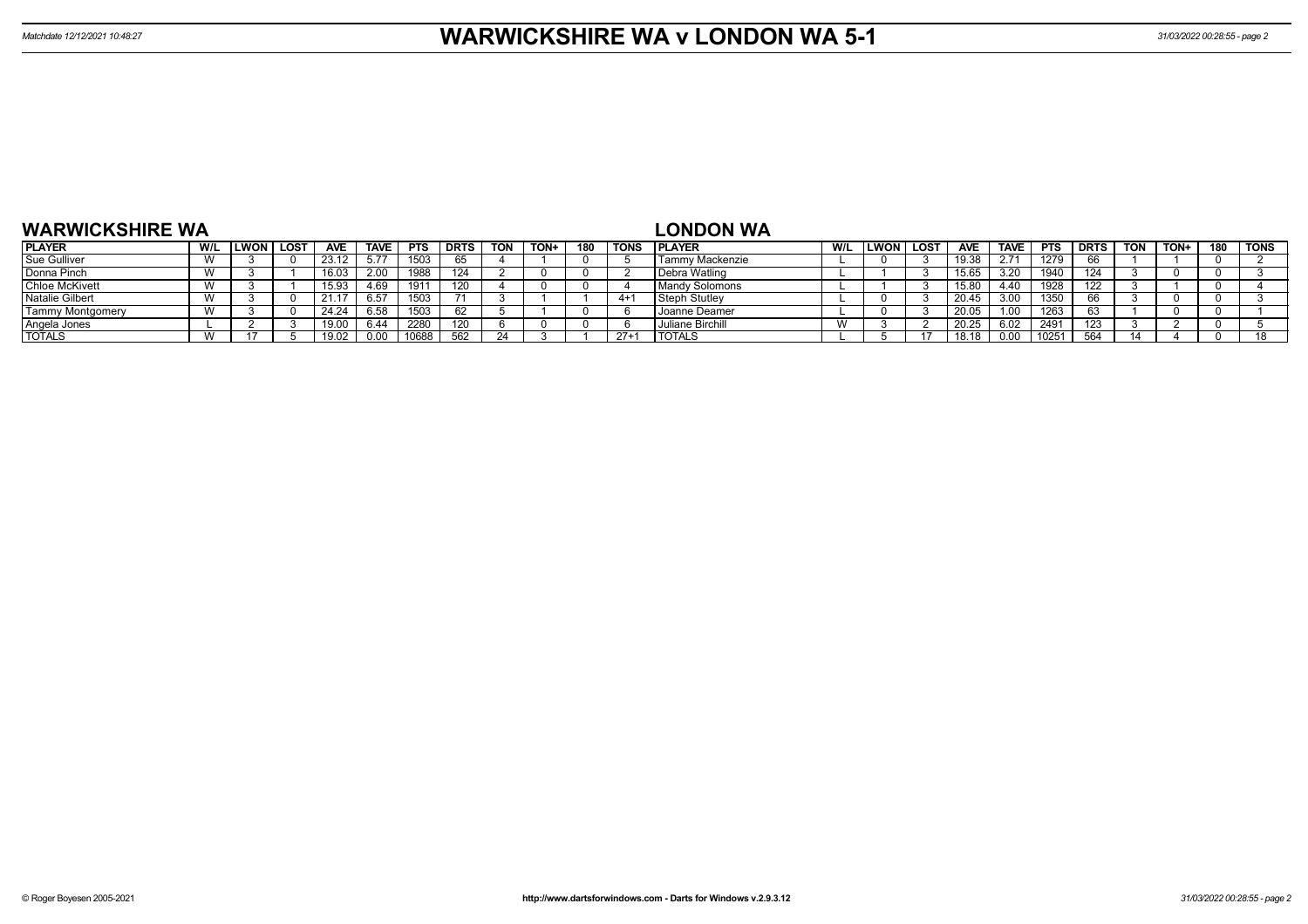| <b>WARWICKSHIRE WA</b>  |     |      |             |            |      |            |      |            |      |     |       | <b>LONDON WA</b>      |     |      |             |            |             |            |             |     |      |     |      |
|-------------------------|-----|------|-------------|------------|------|------------|------|------------|------|-----|-------|-----------------------|-----|------|-------------|------------|-------------|------------|-------------|-----|------|-----|------|
| <b>PLAYER</b>           | W/L | LWON | <b>LOST</b> | <b>AVE</b> | TAVE | <b>PTS</b> | DRTS | <b>TON</b> | TON+ | 180 | TONS  | <b>PLAYER</b>         | W/L | LWON | <b>LOST</b> | <b>AVE</b> | <b>TAVE</b> | <b>PTS</b> | <b>DRTS</b> | TON | TON+ | 180 | TONS |
| Sue Gulliver            |     |      |             | 23.12      | 5.77 | 1503       |      |            |      |     |       | Tammy Mackenzie       |     |      |             | 19.38      | 2.71        | 1279       |             |     |      |     |      |
| Donna Pinch             |     |      |             |            | 2.00 | 1988       | 124  |            |      |     |       | Debra Watling         |     |      |             | 15.65      | 3.20        | 1940       | 124         |     |      |     |      |
| <b>Chloe McKivett</b>   |     |      |             | 5.93،      | 4.69 | 191'       | 120  |            |      |     |       | <b>Mandy Solomons</b> |     |      |             | 15.80      | 4.40        | 1928       | 122         |     |      |     |      |
| <b>Natalie Gilbert</b>  |     |      |             | 21.1       | 6.57 | 1503       |      |            |      |     | $4+$  | Steph Stutley         |     |      |             | 20.45      | 3.00        | 1350       |             |     |      |     |      |
| <b>Tammy Montgomery</b> |     |      |             | 24.24      | 6.58 | 1503       |      |            |      |     |       | I Joanne Deamer       |     |      |             | 20.05      | 1.00        | 1263       |             |     |      |     |      |
| Angela Jones            |     |      |             | 19.00      | 6.44 | 2280       | 120  |            |      |     |       | Juliane Birchill      | v v |      |             | 20.25      | 6.02        | 2491       | 123         |     |      |     |      |
| <b>TOTALS</b>           |     |      |             |            | 0.00 | 10688      | -562 |            |      |     | $27+$ | <b>TOTALS</b>         |     |      |             |            | 0.00        | 1025       | 564         |     |      |     |      |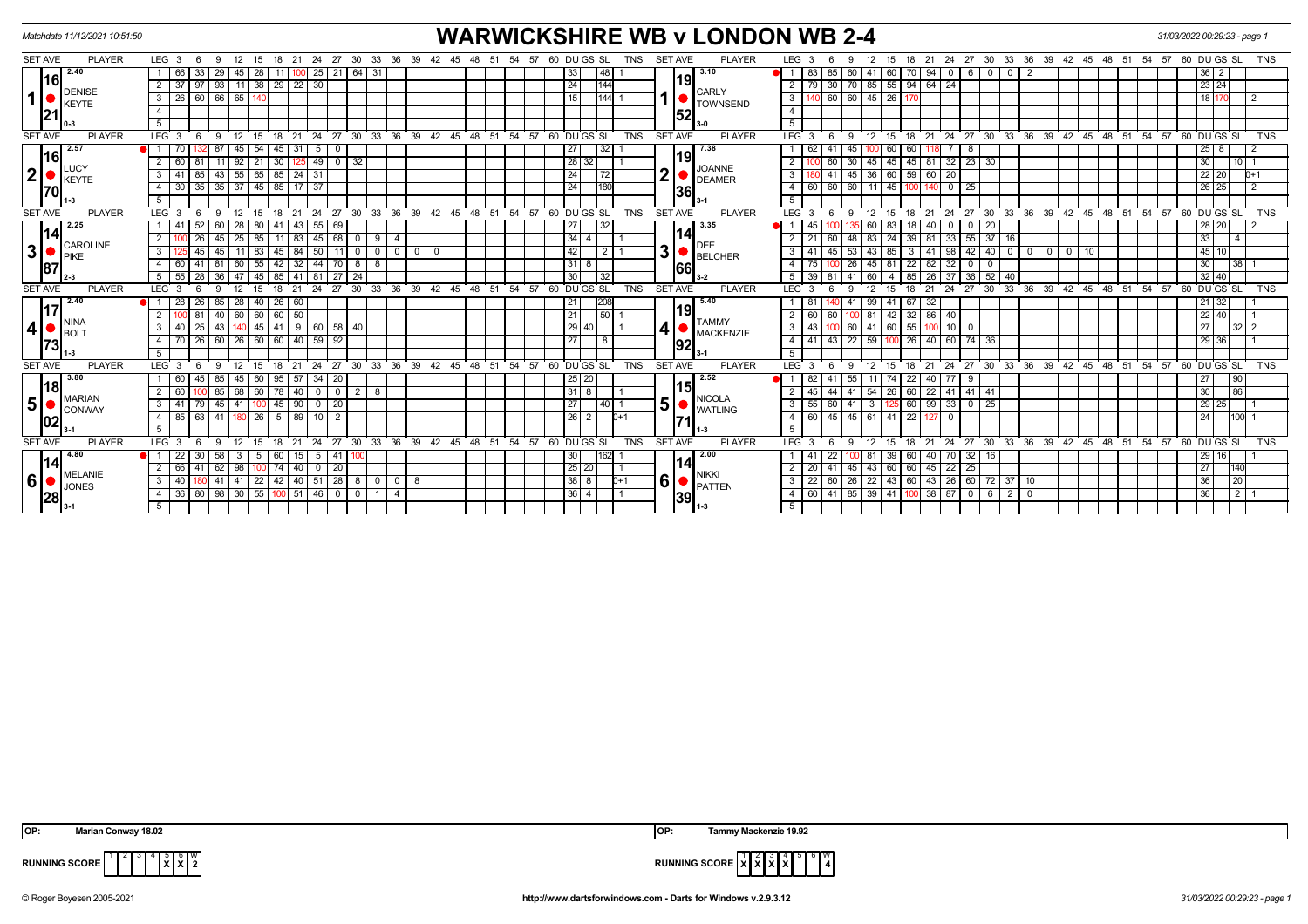| <b>SET AVE</b> | <b>PLAYER</b><br>2.40         |                              |                             |                                                                           |                         |                |                          |             |                   |       |                                        |    |     |          |                       |            |                         | <b>WARWICKSHIRE WB v LONDON WB 2-4</b> |                         |                  |                                            |                           |          |                                                                       |                   |                               |                         |       |            |         |                                          |                    | 31/03/2022 00:29:23 - page 1 |                    |                 |            |
|----------------|-------------------------------|------------------------------|-----------------------------|---------------------------------------------------------------------------|-------------------------|----------------|--------------------------|-------------|-------------------|-------|----------------------------------------|----|-----|----------|-----------------------|------------|-------------------------|----------------------------------------|-------------------------|------------------|--------------------------------------------|---------------------------|----------|-----------------------------------------------------------------------|-------------------|-------------------------------|-------------------------|-------|------------|---------|------------------------------------------|--------------------|------------------------------|--------------------|-----------------|------------|
|                |                               | LEG 3                        | - 6                         | 9<br>12 15                                                                |                         |                | 18 21 24 27 30 33 36 39  |             |                   |       | 42 45 48                               |    | -51 | 54 57    | 60 DU GS SL           | TNS        | <b>SET AVE</b>          | <b>PLAYER</b>                          | LEG <sub>3</sub>        |                  | 12<br>9                                    | 15                        |          | 18  21  24  27  30  33  36  39  42  45  48  51  54  57  60  DU GS  SL |                   |                               |                         |       |            |         |                                          |                    |                              |                    |                 | TNS        |
|                |                               | 66                           | 33                          | 29<br>45   28                                                             | 11 I                    | $100$ 25       | 21                       | 64 31       |                   |       |                                        |    |     |          | 33 <br>  48           |            |                         | 3.10                                   | 83<br>$\overline{1}$    | 85               | 60 I                                       | 41                        |          | 60 70 94 0 6                                                          |                   | $\mathbf 0$<br>0 <sup>1</sup> | -2                      |       |            |         |                                          |                    |                              | $36 \mid 2$        |                 |            |
| 16             |                               | $\overline{2}$<br>-37        | 97                          | 93<br>$11 \mid 38 \mid$                                                   |                         | $29$ 22 30     |                          |             |                   |       |                                        |    |     |          | 24<br>144             |            | 9                       |                                        | $\overline{2}$          | $\vert 30 \vert$ | 70                                         | 85 55 94 64 24            |          |                                                                       |                   |                               |                         |       |            |         |                                          |                    |                              | $23 \mid 24$       |                 |            |
|                | <b>DENISE</b><br><b>KEYTE</b> | 26<br>3 I                    |                             | 60 66 65 140                                                              |                         |                |                          |             |                   |       |                                        |    |     |          | 15                    | 144  1     |                         | <b>CARLY</b><br><b>TOWNSEND</b>        | $\overline{\mathbf{3}}$ | 140 60 60        |                                            | 45 26 170                 |          |                                                                       |                   |                               |                         |       |            |         |                                          |                    |                              | 18 170             |                 |            |
| 121            |                               | $\overline{4}$               |                             |                                                                           |                         |                |                          |             |                   |       |                                        |    |     |          |                       |            | 52                      |                                        | $\overline{4}$          |                  |                                            |                           |          |                                                                       |                   |                               |                         |       |            |         |                                          |                    |                              |                    |                 |            |
|                |                               | 5                            |                             |                                                                           |                         |                |                          |             |                   |       |                                        |    |     |          |                       |            |                         |                                        | $\overline{5}$          |                  |                                            |                           |          |                                                                       |                   |                               |                         |       |            |         |                                          |                    |                              |                    |                 |            |
| <b>SET AVE</b> | <b>PLAYER</b>                 | LEG <sub>3</sub>             | - 6                         | 12 15<br>-9                                                               | 18                      |                |                          |             |                   |       | 21 24 27 30 33 36 39 42 45 48 51 54 57 |    |     |          | 60 DU GS SL           | <b>TNS</b> | <b>SET AVE</b>          | <b>PLAYER</b>                          | $LEG^{\cdot}$ 3         |                  | -9<br>12                                   | - 15                      |          | 18 21 24 27 30 33 36 39 42 45 48 51 54 57 60 DUGS SL                  |                   |                               |                         |       |            |         |                                          |                    |                              |                    |                 | <b>TNS</b> |
| 16             | 2.57                          | $\bullet$ ii                 |                             | 87<br>45                                                                  | 45<br>l 54              | 31   5         |                          |             |                   |       |                                        |    |     |          | 27<br>32 I            |            | 19                      | 7.38                                   |                         |                  | 45                                         | 60                        | 60       |                                                                       | -8                |                               |                         |       |            |         |                                          |                    |                              | $25 \quad 8$       |                 |            |
|                | LUCY                          | $\overline{2}$<br>60         |                             | $92$ 21<br>11 <sup>1</sup>                                                | 30                      | $125$ 49       | $\overline{0}$           | -32         |                   |       |                                        |    |     |          | 28 32                 |            |                         | <b>JOANNE</b>                          | $\overline{2}$          | 60               | 30                                         | 45<br>45                  |          | 45 81 32 23 30                                                        |                   |                               |                         |       |            |         |                                          |                    |                              | 30 <sup>°</sup>    | 10 <sup>1</sup> |            |
| $\mathbf{2}$   | <b>KEYTE</b>                  | 3 <sup>1</sup>               | 85                          | $43 \mid 55 \mid 65 \mid$                                                 |                         | $85$   24   31 |                          |             |                   |       |                                        |    |     |          | 24<br>72              |            | $\overline{\mathbf{2}}$ | <b>DEAMER</b>                          | $\overline{\mathbf{3}}$ | $-41$            | 45                                         | 36 60 59 60               |          | 20                                                                    |                   |                               |                         |       |            |         |                                          |                    |                              | 22 20              |                 | $D+1$      |
| 170            |                               | 4 30                         | 35                          | $35 \mid 37 \mid 45 \mid$                                                 |                         | 85 17 37       |                          |             |                   |       |                                        |    |     |          | 24<br>180             |            | 36                      |                                        | $\overline{4}$          | 60 60            | 60                                         | $11 \overline{45}$        |          | 140                                                                   | $0$   25          |                               |                         |       |            |         |                                          |                    |                              | 26 25              |                 |            |
|                |                               | -5                           |                             |                                                                           |                         |                |                          |             |                   |       |                                        |    |     |          |                       |            |                         |                                        | 5 <sup>5</sup>          |                  |                                            |                           |          |                                                                       |                   |                               |                         |       |            |         |                                          |                    |                              |                    |                 |            |
| <b>SET AVE</b> | <b>PLAYER</b>                 | LEG <sub>3</sub>             | - 6                         | 12<br>-9                                                                  | - 15<br>18              | 21             | 24                       |             |                   |       | 27 30 33 36 39 42 45 48 51             |    |     | 54 57    | 60 DU GS SL           | <b>TNS</b> | <b>SET AVE</b>          | <b>PLAYER</b>                          | $LEG_3$                 |                  | 12<br>-9                                   | 15                        | 18       | 24<br>21                                                              | 27                |                               | 30 33 36 39 42 45 48 51 |       |            |         |                                          | 54 57 60 DU GS SL  |                              |                    |                 | <b>TNS</b> |
|                | 2.25                          |                              |                             | 60<br>28                                                                  | 80<br>41                | 43             | 55<br>69                 |             |                   |       |                                        |    |     |          | 27<br>32              |            |                         | 3.35                                   |                         |                  |                                            | 83<br>60 I                | 18       | 40<br>0 <sup>1</sup>                                                  | $\mathbf{0}$      | 20                            |                         |       |            |         |                                          |                    |                              | 28 20              |                 |            |
| 14             | <b>CAROLINE</b>               | $\overline{2}$               |                             | 45<br>25   85                                                             | 11 <sup>1</sup>         | 83 45          | 68                       | $0 9$       | -4                |       |                                        |    |     |          | $34 \mid 4$           |            | 141                     | <b>DEE</b>                             | 21                      | 60               | 48                                         | 83<br>24                  | 39       | 81                                                                    | 33   55   37   16 |                               |                         |       |            |         |                                          |                    |                              | 33                 |                 |            |
| $\mathbf{3}$   | PIKE                          | 3                            | 45                          | 45                                                                        | 45<br>83                | 84             | 50<br>11                 | $\mathbf 0$ | 0 1 0             | $0$ 0 |                                        |    |     |          | 42                    | 211        | 3 <sup>1</sup>          | <b>BELCHER</b>                         | $\overline{3}$          | 45               | 53                                         | 85<br>43                  |          | 41                                                                    | $98$   42   40    | $\mathbf{0}$                  | $^{\circ}$              | $0$ 0 | $\vert$ 10 |         |                                          |                    |                              | 45 10              |                 |            |
| 87             |                               | $4 \overline{60}$            | $41 \overline{\smash{)}81}$ | $60$ 55                                                                   | 42                      | $32 \mid 44$   | 70                       | $8 \mid 8$  |                   |       |                                        |    |     |          | $31 \mid 8$           |            | 166l                    |                                        | $\overline{4}$          |                  | 26                                         | 45 81                     | 22       | 82<br>32                                                              | $\mathbf 0$       | $\overline{0}$                |                         |       |            |         |                                          |                    |                              | 30 <sub>1</sub>    | $\overline{38}$ |            |
|                | l 2-3                         | 5 I                          |                             | 55   28   36   47   45   85   41   81   27                                |                         |                |                          | 24          |                   |       |                                        |    |     |          | 30<br>$\overline{32}$ |            |                         |                                        | 5                       | 39   81   41     |                                            | 60 I                      |          | 4 85 26 37 36 52 40                                                   |                   |                               |                         |       |            |         |                                          |                    |                              | $32 \mid 40$       |                 |            |
| <b>SET AVE</b> | <b>PLAYER</b>                 | LEG <sub>3</sub>             |                             | 12                                                                        | 18<br>15                | 21             | $^{\degree}$ 24          |             |                   |       | 27 30 33 36 39 42 45 48 51 54 57       |    |     |          | 60 DUGS SL            | <b>TNS</b> | SET AVE                 | <b>PLAYER</b>                          | $LEG^{\prime}$ 3        |                  | 12                                         | 15                        | 21<br>18 | 24                                                                    | 27                |                               |                         |       |            |         | 30 33 36 39 42 45 48 51 54 57 60 DUGS SL |                    |                              |                    |                 | <b>TNS</b> |
| 117            | 2.40                          | -28<br>$\blacksquare$        | 26                          | 85<br>28 40                                                               |                         | $26 \mid 60$   |                          |             |                   |       |                                        |    |     |          | 21<br><b>208</b>      |            | 19l                     | 5.40                                   | -81                     |                  | 41                                         | $99 \ 41$                 | 67       | -32                                                                   |                   |                               |                         |       |            |         |                                          |                    |                              | $21 \overline{32}$ |                 |            |
|                | NINA                          | $\overline{2}$               |                             | 40<br>60 60                                                               |                         | $60$ 50        |                          |             |                   |       |                                        |    |     |          | 21<br>50 <sup>1</sup> |            |                         | <b>TAMMY</b>                           | 2<br>60                 | 60               | 81                                         | 42 I                      |          | 32   86   40                                                          |                   |                               |                         |       |            |         |                                          |                    |                              | 22 40              |                 |            |
| 4              | <b>B</b> OLT                  | 40<br>3                      | 25                          | 43 I                                                                      | 41<br>II 45 I           | $9 \mid 60$    | 58                       | 40          |                   |       |                                        |    |     |          | 29 40                 |            |                         | <b>MACKENZIE</b>                       | 3<br>43                 |                  | 60                                         | 41 60 55                  |          |                                                                       | $10$ 0            |                               |                         |       |            |         |                                          |                    |                              | 27                 | 32 <sub>1</sub> |            |
| 73             |                               | $\overline{4}$<br>70         | - 26 I                      | 60   26   60                                                              | $\sqrt{60}$             | $40 \mid 59$   | 92                       |             |                   |       |                                        |    |     |          | 27<br>8               |            | 92                      |                                        | $\overline{4}$<br>41    | 43               | 22                                         | 59                        | $100$ 26 | 40 60 74 36                                                           |                   |                               |                         |       |            |         |                                          |                    |                              | 29 36              |                 |            |
|                |                               | 5                            |                             |                                                                           |                         |                |                          |             |                   |       |                                        |    |     |          |                       |            |                         |                                        | 5 <sup>5</sup>          |                  |                                            |                           |          |                                                                       |                   |                               |                         |       |            |         |                                          |                    |                              |                    |                 |            |
| <b>SET AVE</b> | <b>PLAYER</b>                 | LEG <sub>3</sub>             |                             |                                                                           |                         |                | 24<br>27                 | 30          | 33<br>36          | 39    | $42^{\circ}$<br>45                     | 48 | 51  | 54<br>57 | 60 DU GS SL           | <b>TNS</b> | <b>SET AVE</b>          | <b>PLAYER</b>                          | LEG <sup>'</sup>        |                  |                                            |                           | 21<br>18 | 24                                                                    | 27                | 30<br>$33^\circ$              | 36                      |       | 39 42 45   | $48$ 51 | 54                                       | 57                 | 60 DU GS SL                  |                    |                 | <b>TNS</b> |
| 18             | 3.80                          | 60                           | 45                          | 85<br>45                                                                  | 95 I<br>  60            | 57 34          | 20                       |             |                   |       |                                        |    |     |          | 25 20                 |            | 5                       | 2.52                                   |                         | l 41             | 55                                         | 74                        | 22       | 40 I<br>77 I                                                          | - 9               |                               |                         |       |            |         |                                          |                    |                              | 27                 | 90              |            |
|                | <b>MARIAN</b>                 | 2<br>60                      |                             | 85<br>68                                                                  | $\overline{78}$<br>  60 | $40$ 0         | $\overline{\phantom{0}}$ | $2 \mid 8$  |                   |       |                                        |    |     |          | $31 \mid 8$           |            |                         | <b>NICOLA</b>                          |                         |                  | 41                                         | 54<br>$\sqrt{26}$         |          | 60   22   41   41   41                                                |                   |                               |                         |       |            |         |                                          |                    |                              | 30 <sup>°</sup>    | 86              |            |
| 5              | Iconway                       | $3 \mid 41$                  | 79                          | $45 \mid 41$                                                              |                         | $45$   90   0  | 20                       |             |                   |       |                                        |    |     |          | 27                    | $40$   1   | 5 <sup>1</sup>          | <b>WATLING</b>                         | 3 <sup>1</sup>          | 55   60          | 41                                         | $\overline{\phantom{a}3}$ |          | $125 \mid 60 \mid 99 \mid 33 \mid 0 \mid 25$                          |                   |                               |                         |       |            |         |                                          |                    |                              | 29 25              |                 |            |
| 02             |                               | 4 85 63                      |                             | 41 180 26                                                                 | 5                       | 89 10          | $\overline{2}$           |             |                   |       |                                        |    |     |          | 26 <br>2              | $D+1$      |                         |                                        | $\overline{4}$          | $60 \mid 45$     | 45                                         | $61$ 41 22                |          | $^{\circ}$<br>127                                                     |                   |                               |                         |       |            |         |                                          |                    |                              | 24                 | 100             |            |
|                |                               | -5                           |                             |                                                                           |                         |                |                          |             |                   |       |                                        |    |     |          |                       |            |                         |                                        | 5                       |                  |                                            |                           |          |                                                                       |                   |                               |                         |       |            |         |                                          |                    |                              |                    |                 |            |
| <b>SET AVE</b> | <b>PLAYER</b>                 | LEG <sup>3</sup>             | - 6                         | 12<br>9                                                                   | - 15<br>18              | 21             | 24                       | 27 30       |                   |       | 33 36 39 42 45                         | 48 | 51  | 54<br>57 | 60 DU GS SL           | <b>TNS</b> | <b>SET AVE</b>          | <b>PLAYER</b>                          | $LEG^3$ 3               |                  | 12<br>-9                                   | 15                        | 18       | 21<br>24                                                              | 27                |                               | 30 33 36 39 42 45 48 51 |       |            |         |                                          | $54$ 57 60 DUGS SL |                              |                    |                 | <b>TNS</b> |
| 14             | 4.80                          | $\bullet$ 1 22               | 30                          | 58<br>$\mathbf{3}$                                                        | 60<br>51                | $15$ 5         | 41                       |             |                   |       |                                        |    |     |          | 30                    | 162        | 141                     | 2.00                                   |                         | 22               | -81                                        | $39 60$                   |          | $40$ 70 32 16                                                         |                   |                               |                         |       |            |         |                                          |                    |                              | 29 16              |                 |            |
|                | <b>MELANIE</b>                | 66<br>$\overline{2}$         |                             | 41 62 98 100                                                              |                         |                | 74   40   0   20         |             |                   |       |                                        |    |     |          | $25 \mid 20$          |            |                         | <b>NIKKI</b>                           | $\overline{2}$          |                  | 20 41 45 43 60 60 45 22 25                 |                           |          |                                                                       |                   |                               |                         |       |            |         |                                          |                    |                              | 27                 | 140             |            |
| 6              | <b>JONES</b>                  | 3 <sup>1</sup><br>40         |                             | $41 \mid 41 \mid 22 \mid 42 \mid 40 \mid 51 \mid 28 \mid 8 \mid 0 \mid 0$ |                         |                |                          |             |                   | - 8   |                                        |    |     |          | $38$ $8$              | $D+1$      | 6                       | PATTEN                                 | 3 <sup>7</sup>          |                  | 22 60 26 22 43 60 43 26 60 72 37 10        |                           |          |                                                                       |                   |                               |                         |       |            |         |                                          |                    |                              | 36                 | 20              |            |
| 28             |                               | 4 36 80 98 30 55 100 51 46 0 |                             |                                                                           |                         |                |                          |             | $0 \mid 1 \mid 4$ |       |                                        |    |     |          | $36 \mid 4$           |            | 39                      |                                        | $\overline{4}$          |                  | 60   41   85   39   41   100   38   87   0 |                           |          |                                                                       |                   | $620$                         |                         |       |            |         |                                          |                    |                              | 36                 | $\overline{2}$  |            |
|                |                               | 5 <sup>5</sup>               |                             |                                                                           |                         |                |                          |             |                   |       |                                        |    |     |          |                       |            |                         |                                        | 5                       |                  |                                            |                           |          |                                                                       |                   |                               |                         |       |            |         |                                          |                    |                              |                    |                 |            |

| OP: | <b>Marian Conway 18.02</b> | <b>IOP</b> | Tammy Mackenzie 19.92 |
|-----|----------------------------|------------|-----------------------|
|     | _________                  |            | ___                   |



**RUNNING SCORE**  $\begin{bmatrix} 1 & 2 & 3 & 4 & 5 & 6 & 6 \ 2 & 2 & 2 & 5 & 6 & 7 \end{bmatrix}$